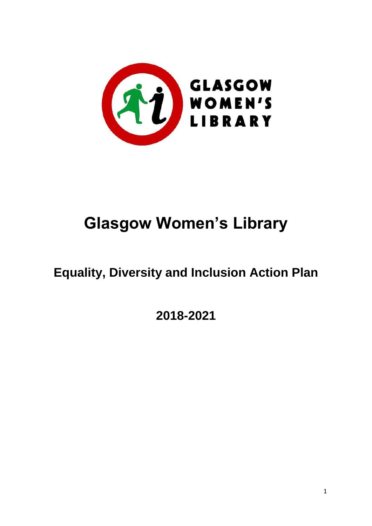

# **Glasgow Women's Library**

## **Equality, Diversity and Inclusion Action Plan**

**2018-2021**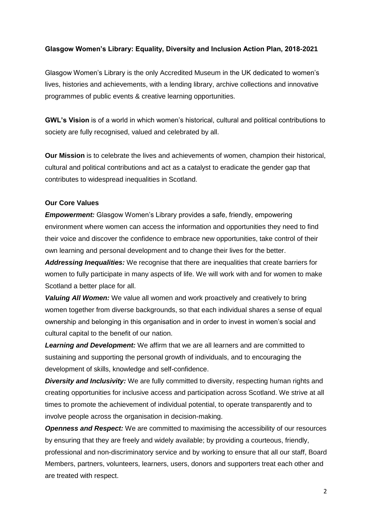#### **Glasgow Women's Library: Equality, Diversity and Inclusion Action Plan, 2018-2021**

Glasgow Women's Library is the only [Accredited Museum](http://womenslibrary.org.uk/explore-the-library-and-archive/the-museum-collection/) in the UK dedicated to women's lives, histories and achievements, with a [lending](http://womenslibrary.org.uk/explore-the-library-and-archive/the-lending-library/) library, [archive collections](http://womenslibrary.org.uk/explore-the-library-and-archive/the-archive-collection/) and innovative programmes of public [events & creative learning](http://womenslibrary.org.uk/events/photo/) opportunities.

**GWL's Vision** is of a world in which women's historical, cultural and political contributions to society are fully recognised, valued and celebrated by all.

**Our Mission** is to celebrate the lives and achievements of women, champion their historical, cultural and political contributions and act as a catalyst to eradicate the gender gap that contributes to widespread inequalities in Scotland.

#### **Our Core Values**

*Empowerment:* Glasgow Women's Library provides a safe, friendly, empowering environment where women can access the information and opportunities they need to find their voice and discover the confidence to embrace new opportunities, take control of their own learning and personal development and to change their lives for the better.

*Addressing Inequalities:* We recognise that there are inequalities that create barriers for women to fully participate in many aspects of life. We will work with and for women to make Scotland a better place for all.

*Valuing All Women:* We value all women and work proactively and creatively to bring women together from diverse backgrounds, so that each individual shares a sense of equal ownership and belonging in this organisation and in order to invest in women's social and cultural capital to the benefit of our nation.

*Learning and Development:* We affirm that we are all learners and are committed to sustaining and supporting the personal growth of individuals, and to encouraging the development of skills, knowledge and self-confidence.

**Diversity and Inclusivity:** We are fully committed to diversity, respecting human rights and creating opportunities for inclusive access and participation across Scotland. We strive at all times to promote the achievement of individual potential, to operate transparently and to involve people across the organisation in decision-making.

**Openness and Respect:** We are committed to maximising the accessibility of our resources by ensuring that they are freely and widely available; by providing a courteous, friendly, professional and non-discriminatory service and by working to ensure that all our staff, Board Members, partners, volunteers, learners, users, donors and supporters treat each other and are treated with respect.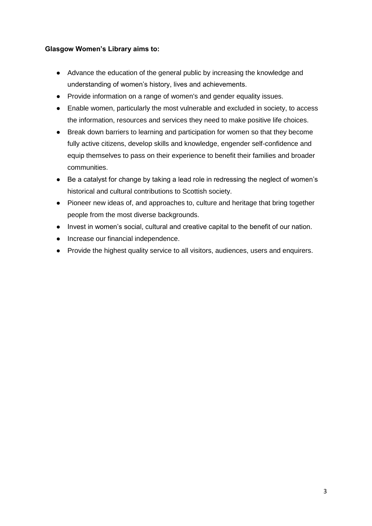#### **Glasgow Women's Library aims to:**

- Advance the education of the general public by increasing the knowledge and understanding of women's history, lives and achievements.
- Provide information on a range of women's and gender equality issues.
- Enable women, particularly the most vulnerable and excluded in society, to access the information, resources and services they need to make positive life choices.
- Break down barriers to learning and participation for women so that they become fully active citizens, develop skills and knowledge, engender self-confidence and equip themselves to pass on their experience to benefit their families and broader communities.
- Be a catalyst for change by taking a lead role in redressing the neglect of women's historical and cultural contributions to Scottish society.
- Pioneer new ideas of, and approaches to, culture and heritage that bring together people from the most diverse backgrounds.
- Invest in women's social, cultural and creative capital to the benefit of our nation.
- Increase our financial independence.
- Provide the highest quality service to all visitors, audiences, users and enquirers.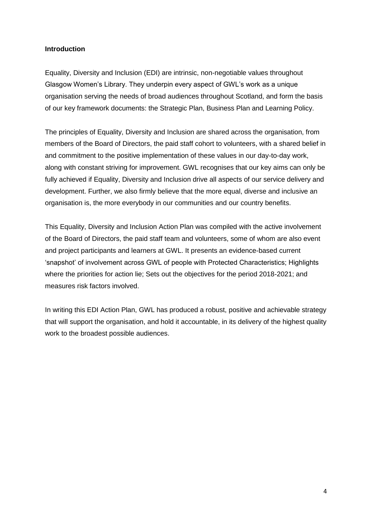#### **Introduction**

Equality, Diversity and Inclusion (EDI) are intrinsic, non-negotiable values throughout Glasgow Women's Library. They underpin every aspect of GWL's work as a unique organisation serving the needs of broad audiences throughout Scotland, and form the basis of our key framework documents: the Strategic Plan, Business Plan and Learning Policy.

The principles of Equality, Diversity and Inclusion are shared across the organisation, from members of the Board of Directors, the paid staff cohort to volunteers, with a shared belief in and commitment to the positive implementation of these values in our day-to-day work, along with constant striving for improvement. GWL recognises that our key aims can only be fully achieved if Equality, Diversity and Inclusion drive all aspects of our service delivery and development. Further, we also firmly believe that the more equal, diverse and inclusive an organisation is, the more everybody in our communities and our country benefits.

This Equality, Diversity and Inclusion Action Plan was compiled with the active involvement of the Board of Directors, the paid staff team and volunteers, some of whom are also event and project participants and learners at GWL. It presents an evidence-based current 'snapshot' of involvement across GWL of people with Protected Characteristics; Highlights where the priorities for action lie; Sets out the objectives for the period 2018-2021; and measures risk factors involved.

In writing this EDI Action Plan, GWL has produced a robust, positive and achievable strategy that will support the organisation, and hold it accountable, in its delivery of the highest quality work to the broadest possible audiences.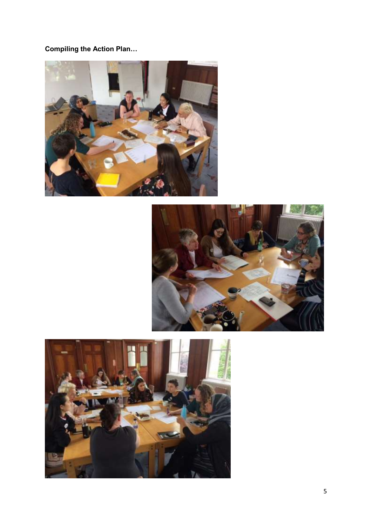## **Compiling the Action Plan…**





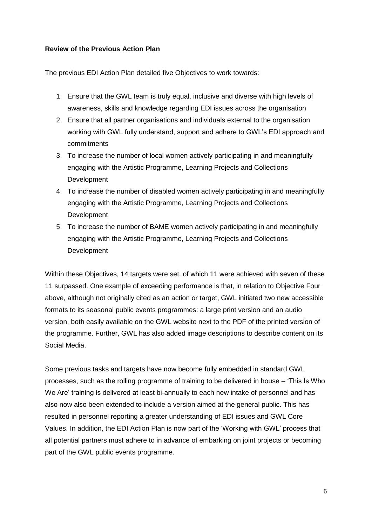#### **Review of the Previous Action Plan**

The previous EDI Action Plan detailed five Objectives to work towards:

- 1. Ensure that the GWL team is truly equal, inclusive and diverse with high levels of awareness, skills and knowledge regarding EDI issues across the organisation
- 2. Ensure that all partner organisations and individuals external to the organisation working with GWL fully understand, support and adhere to GWL's EDI approach and commitments
- 3. To increase the number of local women actively participating in and meaningfully engaging with the Artistic Programme, Learning Projects and Collections **Development**
- 4. To increase the number of disabled women actively participating in and meaningfully engaging with the Artistic Programme, Learning Projects and Collections Development
- 5. To increase the number of BAME women actively participating in and meaningfully engaging with the Artistic Programme, Learning Projects and Collections **Development**

Within these Objectives, 14 targets were set, of which 11 were achieved with seven of these 11 surpassed. One example of exceeding performance is that, in relation to Objective Four above, although not originally cited as an action or target, GWL initiated two new accessible formats to its seasonal public events programmes: a large print version and an audio version, both easily available on the GWL website next to the PDF of the printed version of the programme. Further, GWL has also added image descriptions to describe content on its Social Media.

Some previous tasks and targets have now become fully embedded in standard GWL processes, such as the rolling programme of training to be delivered in house – 'This Is Who We Are' training is delivered at least bi-annually to each new intake of personnel and has also now also been extended to include a version aimed at the general public. This has resulted in personnel reporting a greater understanding of EDI issues and GWL Core Values. In addition, the EDI Action Plan is now part of the 'Working with GWL' process that all potential partners must adhere to in advance of embarking on joint projects or becoming part of the GWL public events programme.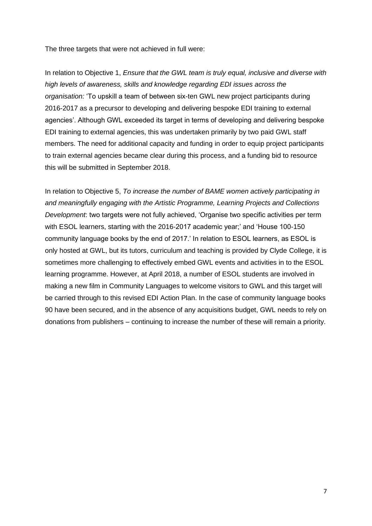The three targets that were not achieved in full were:

In relation to Objective 1, *Ensure that the GWL team is truly equal, inclusive and diverse with high levels of awareness, skills and knowledge regarding EDI issues across the organisation:* 'To upskill a team of between six-ten GWL new project participants during 2016-2017 as a precursor to developing and delivering bespoke EDI training to external agencies'. Although GWL exceeded its target in terms of developing and delivering bespoke EDI training to external agencies, this was undertaken primarily by two paid GWL staff members. The need for additional capacity and funding in order to equip project participants to train external agencies became clear during this process, and a funding bid to resource this will be submitted in September 2018.

In relation to Objective 5, *To increase the number of BAME women actively participating in and meaningfully engaging with the Artistic Programme, Learning Projects and Collections Development*: two targets were not fully achieved, 'Organise two specific activities per term with ESOL learners, starting with the 2016-2017 academic year;' and 'House 100-150 community language books by the end of 2017.' In relation to ESOL learners, as ESOL is only hosted at GWL, but its tutors, curriculum and teaching is provided by Clyde College, it is sometimes more challenging to effectively embed GWL events and activities in to the ESOL learning programme. However, at April 2018, a number of ESOL students are involved in making a new film in Community Languages to welcome visitors to GWL and this target will be carried through to this revised EDI Action Plan. In the case of community language books 90 have been secured, and in the absence of any acquisitions budget, GWL needs to rely on donations from publishers – continuing to increase the number of these will remain a priority.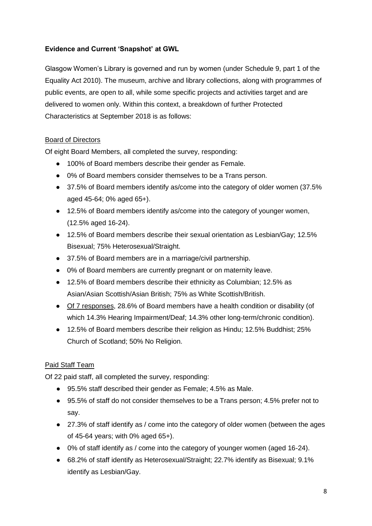#### **Evidence and Current 'Snapshot' at GWL**

Glasgow Women's Library is governed and run by women (under Schedule 9, part 1 of the Equality Act 2010). The museum, archive and library collections, along with programmes of public events, are open to all, while some specific projects and activities target and are delivered to women only. Within this context, a breakdown of further Protected Characteristics at September 2018 is as follows:

#### Board of Directors

Of eight Board Members, all completed the survey, responding:

- 100% of Board members describe their gender as Female.
- 0% of Board members consider themselves to be a Trans person.
- 37.5% of Board members identify as/come into the category of older women (37.5% aged 45-64; 0% aged 65+).
- 12.5% of Board members identify as/come into the category of younger women, (12.5% aged 16-24).
- 12.5% of Board members describe their sexual orientation as Lesbian/Gay; 12.5% Bisexual; 75% Heterosexual/Straight.
- 37.5% of Board members are in a marriage/civil partnership.
- 0% of Board members are currently pregnant or on maternity leave.
- 12.5% of Board members describe their ethnicity as Columbian; 12.5% as Asian/Asian Scottish/Asian British; 75% as White Scottish/British.
- Of 7 responses, 28.6% of Board members have a health condition or disability (of which 14.3% Hearing Impairment/Deaf; 14.3% other long-term/chronic condition).
- 12.5% of Board members describe their religion as Hindu; 12.5% Buddhist; 25% Church of Scotland; 50% No Religion.

#### Paid Staff Team

Of 22 paid staff, all completed the survey, responding:

- 95.5% staff described their gender as Female: 4.5% as Male.
- 95.5% of staff do not consider themselves to be a Trans person; 4.5% prefer not to say.
- 27.3% of staff identify as / come into the category of older women (between the ages of 45-64 years; with 0% aged 65+).
- 0% of staff identify as / come into the category of younger women (aged 16-24).
- 68.2% of staff identify as Heterosexual/Straight; 22.7% identify as Bisexual; 9.1% identify as Lesbian/Gay.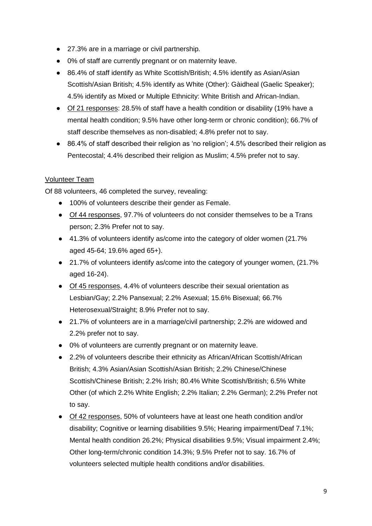- 27.3% are in a marriage or civil partnership.
- 0% of staff are currently pregnant or on maternity leave.
- 86.4% of staff identify as White Scottish/British; 4.5% identify as Asian/Asian Scottish/Asian British; 4.5% identify as White (Other): Gàidheal (Gaelic Speaker); 4.5% identify as Mixed or Multiple Ethnicity: White British and African-Indian.
- Of 21 responses: 28.5% of staff have a health condition or disability (19% have a mental health condition; 9.5% have other long-term or chronic condition); 66.7% of staff describe themselves as non-disabled; 4.8% prefer not to say.
- 86.4% of staff described their religion as 'no religion'; 4.5% described their religion as Pentecostal: 4.4% described their religion as Muslim: 4.5% prefer not to say.

#### Volunteer Team

Of 88 volunteers, 46 completed the survey, revealing:

- 100% of volunteers describe their gender as Female.
- Of 44 responses, 97.7% of volunteers do not consider themselves to be a Trans person; 2.3% Prefer not to say.
- 41.3% of volunteers identify as/come into the category of older women (21.7% aged 45-64; 19.6% aged 65+).
- 21.7% of volunteers identify as/come into the category of younger women, (21.7% aged 16-24).
- Of 45 responses, 4.4% of volunteers describe their sexual orientation as Lesbian/Gay; 2.2% Pansexual; 2.2% Asexual; 15.6% Bisexual; 66.7% Heterosexual/Straight; 8.9% Prefer not to say.
- 21.7% of volunteers are in a marriage/civil partnership; 2.2% are widowed and 2.2% prefer not to say.
- 0% of volunteers are currently pregnant or on maternity leave.
- 2.2% of volunteers describe their ethnicity as African/African Scottish/African British; 4.3% Asian/Asian Scottish/Asian British; 2.2% Chinese/Chinese Scottish/Chinese British; 2.2% Irish; 80.4% White Scottish/British; 6.5% White Other (of which 2.2% White English; 2.2% Italian; 2.2% German); 2.2% Prefer not to say.
- Of 42 responses, 50% of volunteers have at least one heath condition and/or disability; Cognitive or learning disabilities 9.5%; Hearing impairment/Deaf 7.1%; Mental health condition 26.2%; Physical disabilities 9.5%; Visual impairment 2.4%; Other long-term/chronic condition 14.3%; 9.5% Prefer not to say. 16.7% of volunteers selected multiple health conditions and/or disabilities.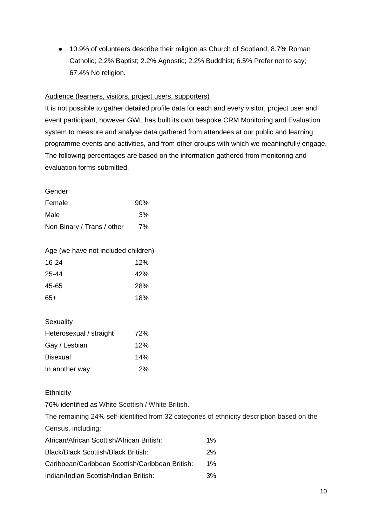● 10.9% of volunteers describe their religion as Church of Scotland; 8.7% Roman Catholic; 2.2% Baptist; 2.2% Agnostic; 2.2% Buddhist; 6.5% Prefer not to say; 67.4% No religion.

#### Audience (learners, visitors, project users, supporters)

It is not possible to gather detailed profile data for each and every visitor, project user and event participant, however GWL has built its own bespoke CRM Monitoring and Evaluation system to measure and analyse data gathered from attendees at our public and learning programme events and activities, and from other groups with which we meaningfully engage. The following percentages are based on the information gathered from monitoring and evaluation forms submitted.

Gender

| Female                     | 90% |
|----------------------------|-----|
| Male                       | 3%  |
| Non Binary / Trans / other | 7%  |

Age (we have not included children)

| 16-24 | 12%        |
|-------|------------|
| 25-44 | 42%        |
| 45-65 | <b>28%</b> |
| $65+$ | 18%        |

#### **Sexuality**

| Heterosexual / straight | 72% |
|-------------------------|-----|
| Gay / Lesbian           | 12% |
| <b>Bisexual</b>         | 14% |
| In another way          | 2%  |

**Ethnicity** 

76% identified as White Scottish / White British.

The remaining 24% self-identified from 32 categories of ethnicity description based on the Census, including:

| African/African Scottish/African British:       | $1\%$ |
|-------------------------------------------------|-------|
| Black/Black Scottish/Black British:             | 2%    |
| Caribbean/Caribbean Scottish/Caribbean British: | $1\%$ |
| Indian/Indian Scottish/Indian British:          | 3%    |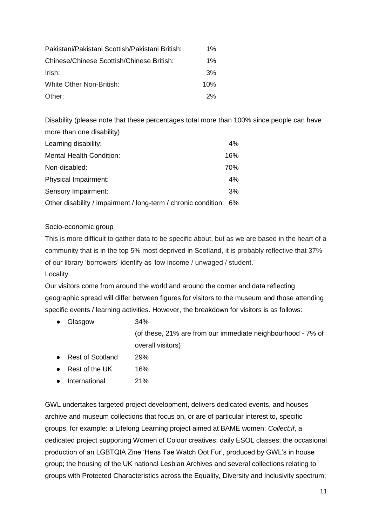| Pakistani/Pakistani Scottish/Pakistani British: | $1\%$ |
|-------------------------------------------------|-------|
| Chinese/Chinese Scottish/Chinese British:       | $1\%$ |
| Irish:                                          | 3%    |
| White Other Non-British:                        | 10%   |
| Other:                                          | 2%    |

Disability (please note that these percentages total more than 100% since people can have more than one disability)

| Learning disability:                                              | $4\%$ |
|-------------------------------------------------------------------|-------|
| <b>Mental Health Condition:</b>                                   | 16%   |
| Non-disabled:                                                     | 70%   |
| Physical Impairment:                                              | 4%    |
| Sensory Impairment:                                               | 3%    |
| Other disability / impairment / long-term / chronic condition: 6% |       |

#### Socio-economic group

This is more difficult to gather data to be specific about, but as we are based in the heart of a community that is in the top 5% most deprived in Scotland, it is probably reflective that 37% of our library 'borrowers' identify as 'low income / unwaged / student.'

#### Locality

Our visitors come from around the world and around the corner and data reflecting geographic spread will differ between figures for visitors to the museum and those attending specific events / learning activities. However, the breakdown for visitors is as follows:

- Glasgow 34% (of these, 21% are from our immediate neighbourhood - 7% of overall visitors)
- Rest of Scotland 29%
- Rest of the UK 16%
- International 21%

GWL undertakes targeted project development, delivers dedicated events, and houses archive and museum collections that focus on, or are of particular interest to, specific groups, for example: a Lifelong Learning project aimed at BAME women; *Collect:if*, a dedicated project supporting Women of Colour creatives; daily ESOL classes; the occasional production of an LGBTQIA Zine 'Hens Tae Watch Oot Fur', produced by GWL's in house group; the housing of the UK national Lesbian Archives and several collections relating to groups with Protected Characteristics across the Equality, Diversity and Inclusivity spectrum;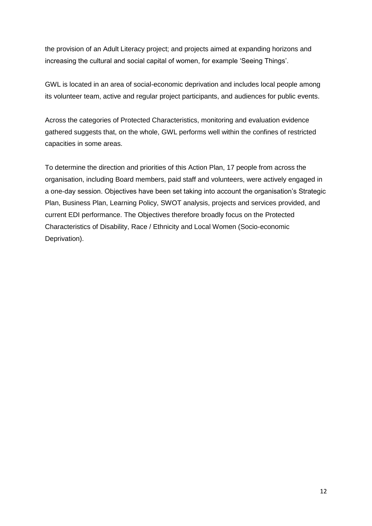the provision of an Adult Literacy project; and projects aimed at expanding horizons and increasing the cultural and social capital of women, for example 'Seeing Things'.

GWL is located in an area of social-economic deprivation and includes local people among its volunteer team, active and regular project participants, and audiences for public events.

Across the categories of Protected Characteristics, monitoring and evaluation evidence gathered suggests that, on the whole, GWL performs well within the confines of restricted capacities in some areas.

To determine the direction and priorities of this Action Plan, 17 people from across the organisation, including Board members, paid staff and volunteers, were actively engaged in a one-day session. Objectives have been set taking into account the organisation's Strategic Plan, Business Plan, Learning Policy, SWOT analysis, projects and services provided, and current EDI performance. The Objectives therefore broadly focus on the Protected Characteristics of Disability, Race / Ethnicity and Local Women (Socio-economic Deprivation).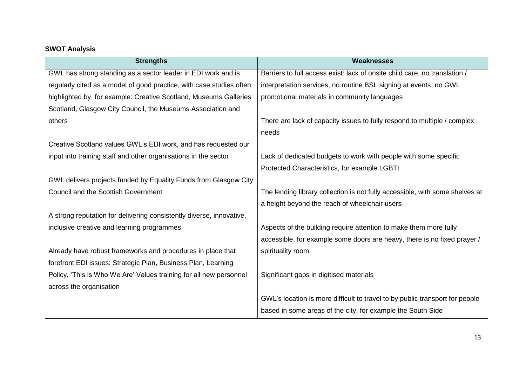## **SWOT Analysis**

| <b>Strengths</b>                                                     | <b>Weaknesses</b>                                                            |
|----------------------------------------------------------------------|------------------------------------------------------------------------------|
| GWL has strong standing as a sector leader in EDI work and is        | Barriers to full access exist: lack of onsite child care, no translation /   |
| regularly cited as a model of good practice, with case studies often | interpretation services, no routine BSL signing at events, no GWL            |
| highlighted by, for example: Creative Scotland, Museums Galleries    | promotional materials in community languages                                 |
| Scotland, Glasgow City Council, the Museums Association and          |                                                                              |
| others                                                               | There are lack of capacity issues to fully respond to multiple / complex     |
|                                                                      | needs                                                                        |
| Creative Scotland values GWL's EDI work, and has requested our       |                                                                              |
| input into training staff and other organisations in the sector      | Lack of dedicated budgets to work with people with some specific             |
|                                                                      | Protected Characteristics, for example LGBTI                                 |
| GWL delivers projects funded by Equality Funds from Glasgow City     |                                                                              |
| <b>Council and the Scottish Government</b>                           | The lending library collection is not fully accessible, with some shelves at |
|                                                                      | a height beyond the reach of wheelchair users                                |
| A strong reputation for delivering consistently diverse, innovative, |                                                                              |
| inclusive creative and learning programmes                           | Aspects of the building require attention to make them more fully            |
|                                                                      | accessible, for example some doors are heavy, there is no fixed prayer /     |
| Already have robust frameworks and procedures in place that          | spirituality room                                                            |
| forefront EDI issues: Strategic Plan, Business Plan, Learning        |                                                                              |
| Policy, 'This is Who We Are' Values training for all new personnel   | Significant gaps in digitised materials                                      |
| across the organisation                                              |                                                                              |
|                                                                      | GWL's location is more difficult to travel to by public transport for people |
|                                                                      | based in some areas of the city, for example the South Side                  |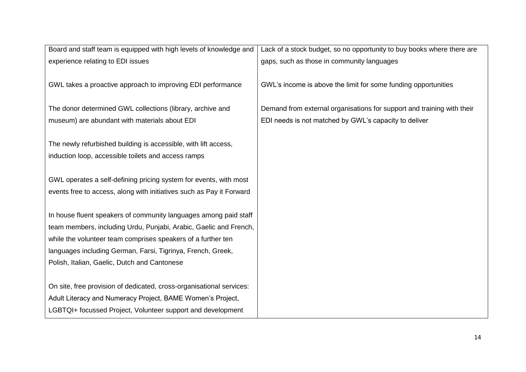| Board and staff team is equipped with high levels of knowledge and   | Lack of a stock budget, so no opportunity to buy books where there are |
|----------------------------------------------------------------------|------------------------------------------------------------------------|
| experience relating to EDI issues                                    | gaps, such as those in community languages                             |
|                                                                      |                                                                        |
| GWL takes a proactive approach to improving EDI performance          | GWL's income is above the limit for some funding opportunities         |
|                                                                      |                                                                        |
| The donor determined GWL collections (library, archive and           | Demand from external organisations for support and training with their |
| museum) are abundant with materials about EDI                        | EDI needs is not matched by GWL's capacity to deliver                  |
|                                                                      |                                                                        |
| The newly refurbished building is accessible, with lift access,      |                                                                        |
| induction loop, accessible toilets and access ramps                  |                                                                        |
|                                                                      |                                                                        |
| GWL operates a self-defining pricing system for events, with most    |                                                                        |
| events free to access, along with initiatives such as Pay it Forward |                                                                        |
|                                                                      |                                                                        |
| In house fluent speakers of community languages among paid staff     |                                                                        |
| team members, including Urdu, Punjabi, Arabic, Gaelic and French,    |                                                                        |
| while the volunteer team comprises speakers of a further ten         |                                                                        |
| languages including German, Farsi, Tigrinya, French, Greek,          |                                                                        |
| Polish, Italian, Gaelic, Dutch and Cantonese                         |                                                                        |
|                                                                      |                                                                        |
| On site, free provision of dedicated, cross-organisational services: |                                                                        |
| Adult Literacy and Numeracy Project, BAME Women's Project,           |                                                                        |
| LGBTQI+ focussed Project, Volunteer support and development          |                                                                        |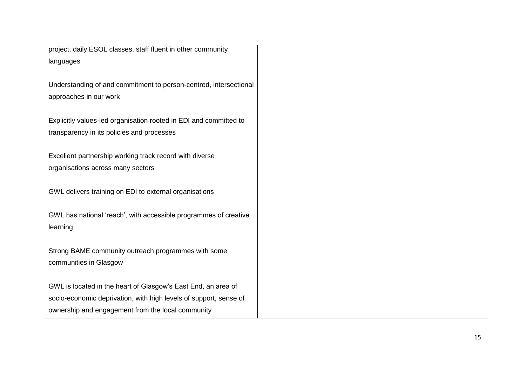project, daily ESOL classes, staff fluent in other community languages

Understanding of and commitment to person-centred, intersectional approaches in our work

Explicitly values-led organisation rooted in EDI and committed to transparency in its policies and processes

Excellent partnership working track record with diverse organisations across many sectors

GWL delivers training on EDI to external organisations

GWL has national 'reach', with accessible programmes of creative learning

Strong BAME community outreach programmes with some communities in Glasgow

GWL is located in the heart of Glasgow's East End, an area of socio-economic deprivation, with high levels of support, sense of ownership and engagement from the local community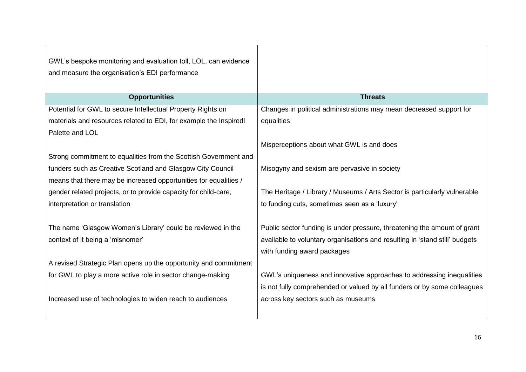| GWL's bespoke monitoring and evaluation toll, LOL, can evidence<br>and measure the organisation's EDI performance |                                                                             |
|-------------------------------------------------------------------------------------------------------------------|-----------------------------------------------------------------------------|
| <b>Opportunities</b>                                                                                              | <b>Threats</b>                                                              |
| Potential for GWL to secure Intellectual Property Rights on                                                       | Changes in political administrations may mean decreased support for         |
| materials and resources related to EDI, for example the Inspired!                                                 | equalities                                                                  |
| Palette and LOL                                                                                                   |                                                                             |
|                                                                                                                   | Misperceptions about what GWL is and does                                   |
| Strong commitment to equalities from the Scottish Government and                                                  |                                                                             |
| funders such as Creative Scotland and Glasgow City Council                                                        | Misogyny and sexism are pervasive in society                                |
| means that there may be increased opportunities for equalities /                                                  |                                                                             |
| gender related projects, or to provide capacity for child-care,                                                   | The Heritage / Library / Museums / Arts Sector is particularly vulnerable   |
| interpretation or translation                                                                                     | to funding cuts, sometimes seen as a 'luxury'                               |
|                                                                                                                   |                                                                             |
| The name 'Glasgow Women's Library' could be reviewed in the                                                       | Public sector funding is under pressure, threatening the amount of grant    |
| context of it being a 'misnomer'                                                                                  | available to voluntary organisations and resulting in 'stand still' budgets |
|                                                                                                                   | with funding award packages                                                 |
| A revised Strategic Plan opens up the opportunity and commitment                                                  |                                                                             |
| for GWL to play a more active role in sector change-making                                                        | GWL's uniqueness and innovative approaches to addressing inequalities       |
|                                                                                                                   | is not fully comprehended or valued by all funders or by some colleagues    |
| Increased use of technologies to widen reach to audiences                                                         | across key sectors such as museums                                          |
|                                                                                                                   |                                                                             |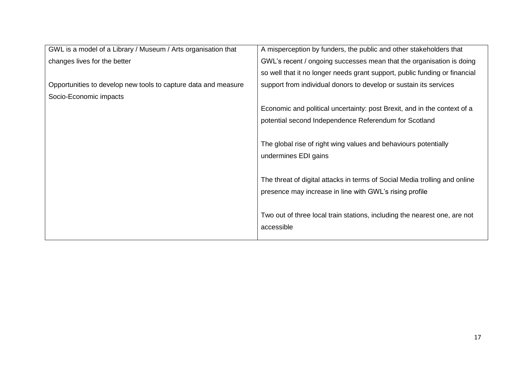| GWL is a model of a Library / Museum / Arts organisation that  | A misperception by funders, the public and other stakeholders that         |
|----------------------------------------------------------------|----------------------------------------------------------------------------|
| changes lives for the better                                   | GWL's recent / ongoing successes mean that the organisation is doing       |
|                                                                | so well that it no longer needs grant support, public funding or financial |
| Opportunities to develop new tools to capture data and measure | support from individual donors to develop or sustain its services          |
| Socio-Economic impacts                                         |                                                                            |
|                                                                | Economic and political uncertainty: post Brexit, and in the context of a   |
|                                                                | potential second Independence Referendum for Scotland                      |
|                                                                |                                                                            |
|                                                                | The global rise of right wing values and behaviours potentially            |
|                                                                | undermines EDI gains                                                       |
|                                                                |                                                                            |
|                                                                | The threat of digital attacks in terms of Social Media trolling and online |
|                                                                | presence may increase in line with GWL's rising profile                    |
|                                                                |                                                                            |
|                                                                | Two out of three local train stations, including the nearest one, are not  |
|                                                                | accessible                                                                 |
|                                                                |                                                                            |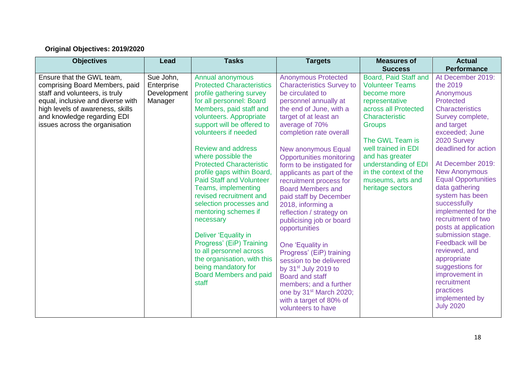## **Original Objectives: 2019/2020**

| <b>Objectives</b>                                                                                                                                                                                                                       | Lead                                              | <b>Tasks</b>                                                                                                                                                                                                                                                                                                                                                                                                                                                                                                                                                                                                                                                                     | <b>Targets</b>                                                                                                                                                                                                                                                                                                                                                                                                                                                                                                                                                                                                                                                                                                                                                             | <b>Measures of</b>                                                                                                                                                                                                                                                                                                   | <b>Actual</b>                                                                                                                                                                                                                                                                                                                                                                                                                                                                                                                                                                                  |
|-----------------------------------------------------------------------------------------------------------------------------------------------------------------------------------------------------------------------------------------|---------------------------------------------------|----------------------------------------------------------------------------------------------------------------------------------------------------------------------------------------------------------------------------------------------------------------------------------------------------------------------------------------------------------------------------------------------------------------------------------------------------------------------------------------------------------------------------------------------------------------------------------------------------------------------------------------------------------------------------------|----------------------------------------------------------------------------------------------------------------------------------------------------------------------------------------------------------------------------------------------------------------------------------------------------------------------------------------------------------------------------------------------------------------------------------------------------------------------------------------------------------------------------------------------------------------------------------------------------------------------------------------------------------------------------------------------------------------------------------------------------------------------------|----------------------------------------------------------------------------------------------------------------------------------------------------------------------------------------------------------------------------------------------------------------------------------------------------------------------|------------------------------------------------------------------------------------------------------------------------------------------------------------------------------------------------------------------------------------------------------------------------------------------------------------------------------------------------------------------------------------------------------------------------------------------------------------------------------------------------------------------------------------------------------------------------------------------------|
| Ensure that the GWL team,<br>comprising Board Members, paid<br>staff and volunteers, is truly<br>equal, inclusive and diverse with<br>high levels of awareness, skills<br>and knowledge regarding EDI<br>issues across the organisation | Sue John,<br>Enterprise<br>Development<br>Manager | Annual anonymous<br><b>Protected Characteristics</b><br>profile gathering survey<br>for all personnel: Board<br>Members, paid staff and<br>volunteers. Appropriate<br>support will be offered to<br>volunteers if needed<br><b>Review and address</b><br>where possible the<br><b>Protected Characteristic</b><br>profile gaps within Board,<br><b>Paid Staff and Volunteer</b><br>Teams, implementing<br>revised recruitment and<br>selection processes and<br>mentoring schemes if<br>necessary<br>Deliver 'Equality in<br>Progress' (EiP) Training<br>to all personnel across<br>the organisation, with this<br>being mandatory for<br><b>Board Members and paid</b><br>staff | <b>Anonymous Protected</b><br><b>Characteristics Survey to</b><br>be circulated to<br>personnel annually at<br>the end of June, with a<br>target of at least an<br>average of 70%<br>completion rate overall<br>New anonymous Equal<br><b>Opportunities monitoring</b><br>form to be instigated for<br>applicants as part of the<br>recruitment process for<br><b>Board Members and</b><br>paid staff by December<br>2018, informing a<br>reflection / strategy on<br>publicising job or board<br>opportunities<br>One 'Equality in<br>Progress' (EiP) training<br>session to be delivered<br>by 31 <sup>st</sup> July 2019 to<br><b>Board and staff</b><br>members; and a further<br>one by 31 <sup>st</sup> March 2020;<br>with a target of 80% of<br>volunteers to have | <b>Success</b><br>Board, Paid Staff and<br><b>Volunteer Teams</b><br>become more<br>representative<br>across all Protected<br>Characteristic<br><b>Groups</b><br>The GWL Team is<br>well trained in EDI<br>and has greater<br>understanding of EDI<br>in the context of the<br>museums, arts and<br>heritage sectors | <b>Performance</b><br>At December 2019:<br>the 2019<br>Anonymous<br><b>Protected</b><br><b>Characteristics</b><br>Survey complete,<br>and target<br>exceeded; June<br>2020 Survey<br>deadlined for action<br>At December 2019:<br><b>New Anonymous</b><br><b>Equal Opportunities</b><br>data gathering<br>system has been<br>successfully<br>implemented for the<br>recruitment of two<br>posts at application<br>submission stage.<br>Feedback will be<br>reviewed, and<br>appropriate<br>suggestions for<br>improvement in<br>recruitment<br>practices<br>implemented by<br><b>July 2020</b> |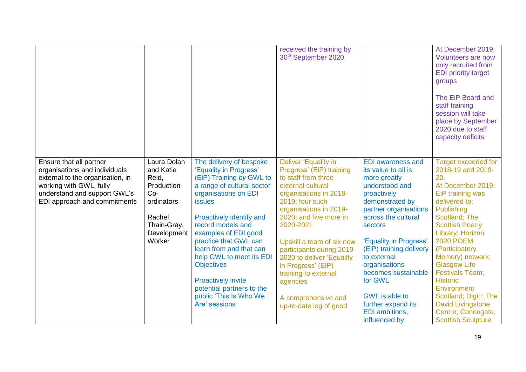|                                                                                                                                                                                         |                                                                                                                          |                                                                                                                                                                                                                                                                                                                                                                                                                                         | received the training by<br>30 <sup>th</sup> September 2020                                                                                                                                                                                                                                                                                                                                                  |                                                                                                                                                                                                                                                                                                                                                                        | At December 2019:<br>Volunteers are now<br>only recruited from<br><b>EDI priority target</b><br>groups<br>The EiP Board and<br>staff training<br>session will take<br>place by September<br>2020 due to staff<br>capacity deficits                                                                                                                                                                                    |
|-----------------------------------------------------------------------------------------------------------------------------------------------------------------------------------------|--------------------------------------------------------------------------------------------------------------------------|-----------------------------------------------------------------------------------------------------------------------------------------------------------------------------------------------------------------------------------------------------------------------------------------------------------------------------------------------------------------------------------------------------------------------------------------|--------------------------------------------------------------------------------------------------------------------------------------------------------------------------------------------------------------------------------------------------------------------------------------------------------------------------------------------------------------------------------------------------------------|------------------------------------------------------------------------------------------------------------------------------------------------------------------------------------------------------------------------------------------------------------------------------------------------------------------------------------------------------------------------|-----------------------------------------------------------------------------------------------------------------------------------------------------------------------------------------------------------------------------------------------------------------------------------------------------------------------------------------------------------------------------------------------------------------------|
| Ensure that all partner<br>organisations and individuals<br>external to the organisation, in<br>working with GWL, fully<br>understand and support GWL's<br>EDI approach and commitments | Laura Dolan<br>and Katie<br>Reid,<br>Production<br>$Co-$<br>ordinators<br>Rachel<br>Thain-Gray,<br>Development<br>Worker | The delivery of bespoke<br>'Equality in Progress'<br>(EiP) Training by GWL to<br>a range of cultural sector<br>organisations on EDI<br><b>issues</b><br>Proactively identify and<br>record models and<br>examples of EDI good<br>practice that GWL can<br>learn from and that can<br>help GWL to meet its EDI<br><b>Objectives</b><br><b>Proactively invite</b><br>potential partners to the<br>public 'This Is Who We<br>Are' sessions | Deliver 'Equality in<br>Progress' (EiP) training<br>to staff from three<br>external cultural<br>organisations in 2018-<br>2019; four such<br>organisations in 2019-<br>2020; and five more in<br>2020-2021<br>Upskill a team of six new<br>participants during 2019-<br>2020 to deliver 'Equality<br>in Progress' (EiP)<br>training to external<br>agencies<br>A comprehensive and<br>up-to-date log of good | <b>EDI</b> awareness and<br>its value to all is<br>more greatly<br>understood and<br>proactively<br>demonstrated by<br>partner organisations<br>across the cultural<br>sectors<br>'Equality in Progress'<br>(EiP) training delivery<br>to external<br>organisations<br>becomes sustainable<br>for GWL<br>GWL is able to<br>further expand its<br><b>EDI</b> ambitions, | <b>Target exceeded for</b><br>2018-19 and 2019-<br>20.<br>At December 2019:<br>EiP training was<br>delivered to:<br>Publishing<br>Scotland; The<br><b>Scottish Poetry</b><br>Library; Horizon<br><b>2020 POEM</b><br>(Participatory<br>Memory) network;<br><b>Glasgow Life</b><br><b>Festivals Team:</b><br><b>Historic</b><br>Environment<br>Scotland; Digit!; The<br><b>David Livingstone</b><br>Centre; Canongate; |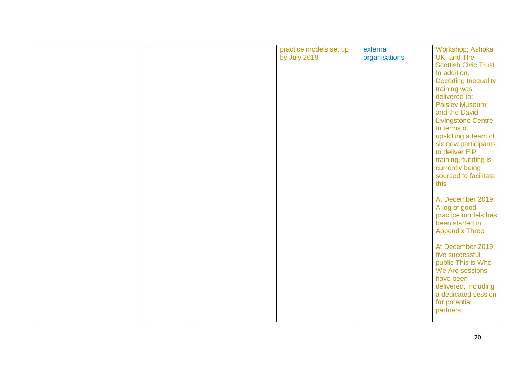|  | practice models set up | external      | Workshop; Ashoka                       |
|--|------------------------|---------------|----------------------------------------|
|  | by July 2019           | organisations | UK; and The                            |
|  |                        |               | <b>Scottish Civic Trust</b>            |
|  |                        |               | In addition,                           |
|  |                        |               | <b>Decoding Inequality</b>             |
|  |                        |               | training was                           |
|  |                        |               | delivered to:                          |
|  |                        |               | Paisley Museum;                        |
|  |                        |               | and the David                          |
|  |                        |               | <b>Livingstone Centre</b>              |
|  |                        |               | In terms of                            |
|  |                        |               | upskilling a team of                   |
|  |                        |               | six new participants                   |
|  |                        |               | to deliver EiP                         |
|  |                        |               | training, funding is                   |
|  |                        |               | currently being                        |
|  |                        |               | sourced to facilitate                  |
|  |                        |               | this                                   |
|  |                        |               |                                        |
|  |                        |               | At December 2019:                      |
|  |                        |               | A log of good                          |
|  |                        |               | practice models has<br>been started in |
|  |                        |               |                                        |
|  |                        |               | <b>Appendix Three</b>                  |
|  |                        |               | At December 2019:                      |
|  |                        |               | five successful                        |
|  |                        |               | public This is Who                     |
|  |                        |               | We Are sessions                        |
|  |                        |               | have been                              |
|  |                        |               | delivered, including                   |
|  |                        |               | a dedicated session                    |
|  |                        |               | for potential                          |
|  |                        |               | partners                               |
|  |                        |               |                                        |
|  |                        |               |                                        |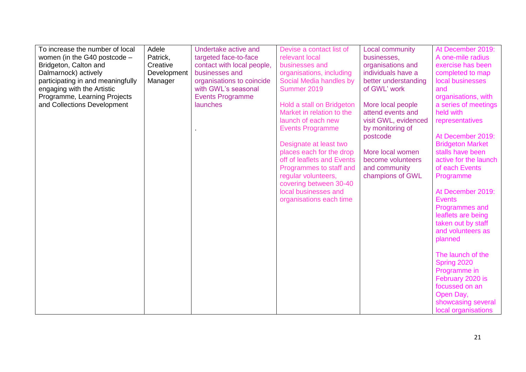| To increase the number of local   | Adele       | Undertake active and       | Devise a contact list of   | <b>Local community</b> | At December 2019:       |
|-----------------------------------|-------------|----------------------------|----------------------------|------------------------|-------------------------|
| women (in the G40 postcode -      | Patrick,    | targeted face-to-face      | relevant local             | businesses,            | A one-mile radius       |
| Bridgeton, Calton and             | Creative    | contact with local people, | businesses and             | organisations and      | exercise has been       |
| Dalmarnock) actively              | Development | businesses and             | organisations, including   | individuals have a     | completed to map        |
| participating in and meaningfully | Manager     | organisations to coincide  | Social Media handles by    | better understanding   | local businesses        |
| engaging with the Artistic        |             | with GWL's seasonal        | Summer 2019                | of GWL' work           | and                     |
| Programme, Learning Projects      |             | <b>Events Programme</b>    |                            |                        | organisations, with     |
| and Collections Development       |             | launches                   | Hold a stall on Bridgeton  | More local people      | a series of meetings    |
|                                   |             |                            | Market in relation to the  | attend events and      | held with               |
|                                   |             |                            | launch of each new         | visit GWL, evidenced   | representatives         |
|                                   |             |                            | <b>Events Programme</b>    | by monitoring of       |                         |
|                                   |             |                            |                            | postcode               | At December 2019:       |
|                                   |             |                            | Designate at least two     |                        | <b>Bridgeton Market</b> |
|                                   |             |                            | places each for the drop   | More local women       | stalls have been        |
|                                   |             |                            | off of leaflets and Events | become volunteers      | active for the launch   |
|                                   |             |                            | Programmes to staff and    | and community          | of each Events          |
|                                   |             |                            | regular volunteers,        | champions of GWL       | Programme               |
|                                   |             |                            | covering between 30-40     |                        |                         |
|                                   |             |                            | local businesses and       |                        | At December 2019:       |
|                                   |             |                            | organisations each time    |                        | <b>Events</b>           |
|                                   |             |                            |                            |                        | Programmes and          |
|                                   |             |                            |                            |                        | leaflets are being      |
|                                   |             |                            |                            |                        | taken out by staff      |
|                                   |             |                            |                            |                        | and volunteers as       |
|                                   |             |                            |                            |                        | planned                 |
|                                   |             |                            |                            |                        |                         |
|                                   |             |                            |                            |                        | The launch of the       |
|                                   |             |                            |                            |                        | Spring 2020             |
|                                   |             |                            |                            |                        | Programme in            |
|                                   |             |                            |                            |                        | February 2020 is        |
|                                   |             |                            |                            |                        | focussed on an          |
|                                   |             |                            |                            |                        | Open Day,               |
|                                   |             |                            |                            |                        | showcasing several      |
|                                   |             |                            |                            |                        | local organisations     |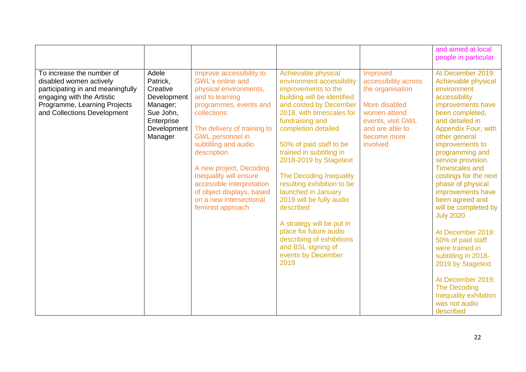|                                                                                                                                                                                        |                                                                                                               |                                                                                                                                                                                                                                                                                                                                                                                                           |                                                                                                                                                                                                                                                                                                                                                                                                                                                                                                                                                           |                                                                                                                                                          | and aimed at local<br>people in particular                                                                                                                                                                                                                                                                                                                                                                                                                                                                                                                                                                     |
|----------------------------------------------------------------------------------------------------------------------------------------------------------------------------------------|---------------------------------------------------------------------------------------------------------------|-----------------------------------------------------------------------------------------------------------------------------------------------------------------------------------------------------------------------------------------------------------------------------------------------------------------------------------------------------------------------------------------------------------|-----------------------------------------------------------------------------------------------------------------------------------------------------------------------------------------------------------------------------------------------------------------------------------------------------------------------------------------------------------------------------------------------------------------------------------------------------------------------------------------------------------------------------------------------------------|----------------------------------------------------------------------------------------------------------------------------------------------------------|----------------------------------------------------------------------------------------------------------------------------------------------------------------------------------------------------------------------------------------------------------------------------------------------------------------------------------------------------------------------------------------------------------------------------------------------------------------------------------------------------------------------------------------------------------------------------------------------------------------|
| To increase the number of<br>disabled women actively<br>participating in and meaningfully<br>engaging with the Artistic<br>Programme, Learning Projects<br>and Collections Development | Adele<br>Patrick,<br>Creative<br>Development<br>Manager;<br>Sue John,<br>Enterprise<br>Development<br>Manager | Improve accessibility to<br><b>GWL's online and</b><br>physical environments,<br>and to learning<br>programmes, events and<br>collections<br>The delivery of training to<br><b>GWL</b> personnel in<br>subtitling and audio<br>description<br>A new project, Decoding<br>Inequality will ensure<br>accessible interpretation<br>of object displays, based<br>on a new intersectional<br>feminist approach | Achievable physical<br>environment accessibility<br>improvements to the<br>building will be identified<br>and costed by December<br>2018, with timescales for<br>fundraising and<br>completion detailed<br>50% of paid staff to be<br>trained in subtitling in<br>2018-2019 by Stagetext<br>The Decoding Inequality<br>resulting exhibition to be<br>launched in January<br>2019 will be fully audio<br>described<br>A strategy will be put in<br>place for future audio<br>describing of exhibitions<br>and BSL signing of<br>events by December<br>2019 | Improved<br>accessibility across<br>the organisation<br>More disabled<br>women attend<br>events, visit GWL<br>and are able to<br>become more<br>involved | At December 2019:<br>Achievable physical<br>environment<br>accessibility<br>improvements have<br>been completed,<br>and detailed in<br>Appendix Four, with<br>other general<br>improvements to<br>programming and<br>service provision.<br><b>Timescales and</b><br>costings for the next<br>phase of physical<br>improvements have<br>been agreed and<br>will be completed by<br><b>July 2020</b><br>At December 2019:<br>50% of paid staff<br>were trained in<br>subtitling in 2018-<br>2019 by Stagetext<br>At December 2019:<br><b>The Decoding</b><br>Inequality exhibition<br>was not audio<br>described |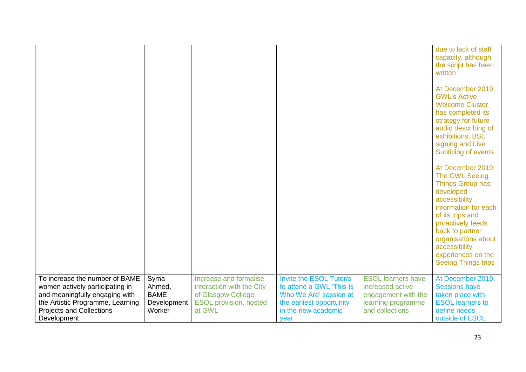|                                                                                                                                                                                           |                                                        |                                                                                                                      |                                                                                                                                          |                                                                                                               | due to lack of staff<br>capacity, although<br>the script has been<br>written<br>At December 2019:<br><b>GWL's Active</b><br><b>Welcome Cluster</b><br>has completed its<br>strategy for future<br>audio describing of<br>exhibitions, BSL<br>signing and Live<br>Subtitling of events<br>At December 2019:<br>The GWL Seeing<br><b>Things Group has</b><br>developed<br>accessibility<br>information for each<br>of its trips and<br>proactively feeds<br>back to partner<br>organisations about<br>accessibility<br>experiences on the<br><b>Seeing Things trips</b> |
|-------------------------------------------------------------------------------------------------------------------------------------------------------------------------------------------|--------------------------------------------------------|----------------------------------------------------------------------------------------------------------------------|------------------------------------------------------------------------------------------------------------------------------------------|---------------------------------------------------------------------------------------------------------------|-----------------------------------------------------------------------------------------------------------------------------------------------------------------------------------------------------------------------------------------------------------------------------------------------------------------------------------------------------------------------------------------------------------------------------------------------------------------------------------------------------------------------------------------------------------------------|
| To increase the number of BAME<br>women actively participating in<br>and meaningfully engaging with<br>the Artistic Programme, Learning<br><b>Projects and Collections</b><br>Development | Syma<br>Ahmed,<br><b>BAME</b><br>Development<br>Worker | Increase and formalise<br>interaction with the City<br>of Glasgow College<br><b>ESOL provision, hosted</b><br>at GWL | Invite the ESOL Tutor/s<br>to attend a GWL 'This Is<br>Who We Are' session at<br>the earliest opportunity<br>in the new academic<br>year | <b>ESOL learners have</b><br>increased active<br>engagement with the<br>learning programme<br>and collections | At December 2019:<br><b>Sessions have</b><br>taken place with<br><b>ESOL learners to</b><br>define needs<br>outside of ESOL                                                                                                                                                                                                                                                                                                                                                                                                                                           |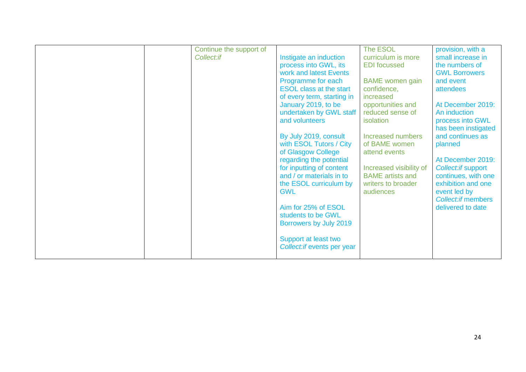| Continue the support of |                                               | The ESOL                       | provision, with a         |
|-------------------------|-----------------------------------------------|--------------------------------|---------------------------|
| Collect:if              | Instigate an induction                        | curriculum is more             | small increase in         |
|                         | process into GWL, its                         | <b>EDI</b> focussed            | the numbers of            |
|                         | work and latest Events                        |                                | <b>GWL Borrowers</b>      |
|                         | Programme for each                            | <b>BAME</b> women gain         | and event                 |
|                         | <b>ESOL class at the start</b>                | confidence,                    | attendees                 |
|                         | of every term, starting in                    | increased                      |                           |
|                         | January 2019, to be                           | opportunities and              | At December 2019:         |
|                         | undertaken by GWL staff                       | reduced sense of               | An induction              |
|                         | and volunteers                                | isolation                      | process into GWL          |
|                         |                                               |                                | has been instigated       |
|                         | By July 2019, consult                         | Increased numbers              | and continues as          |
|                         | with ESOL Tutors / City<br>of Glasgow College | of BAME women<br>attend events | planned                   |
|                         | regarding the potential                       |                                | At December 2019:         |
|                         | for inputting of content                      | Increased visibility of        | Collect: if support       |
|                         | and / or materials in to                      | <b>BAME</b> artists and        | continues, with one       |
|                         | the ESOL curriculum by                        | writers to broader             | exhibition and one        |
|                         | <b>GWL</b>                                    | audiences                      | event led by              |
|                         |                                               |                                | <b>Collect:if members</b> |
|                         | Aim for 25% of ESOL                           |                                | delivered to date         |
|                         | students to be GWL                            |                                |                           |
|                         | Borrowers by July 2019                        |                                |                           |
|                         |                                               |                                |                           |
|                         | Support at least two                          |                                |                           |
|                         | Collect: if events per year                   |                                |                           |
|                         |                                               |                                |                           |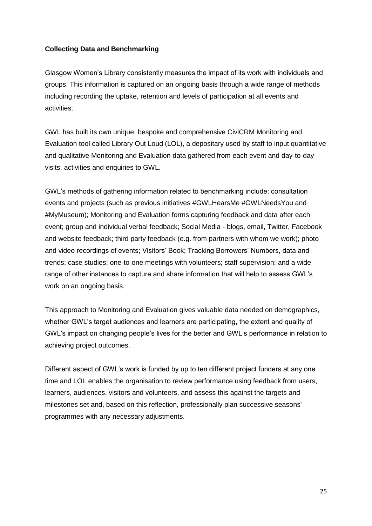#### **Collecting Data and Benchmarking**

Glasgow Women's Library consistently measures the impact of its work with individuals and groups. This information is captured on an ongoing basis through a wide range of methods including recording the uptake, retention and levels of participation at all events and activities.

GWL has built its own unique, bespoke and comprehensive CiviCRM Monitoring and Evaluation tool called Library Out Loud (LOL), a depositary used by staff to input quantitative and qualitative Monitoring and Evaluation data gathered from each event and day-to-day visits, activities and enquiries to GWL.

GWL's methods of gathering information related to benchmarking include: consultation events and projects (such as previous initiatives #GWLHearsMe #GWLNeedsYou and #MyMuseum); Monitoring and Evaluation forms capturing feedback and data after each event; group and individual verbal feedback; Social Media - blogs, email, Twitter, Facebook and website feedback; third party feedback (e.g. from partners with whom we work); photo and video recordings of events; Visitors' Book; Tracking Borrowers' Numbers, data and trends; case studies; one-to-one meetings with volunteers; staff supervision; and a wide range of other instances to capture and share information that will help to assess GWL's work on an ongoing basis.

This approach to Monitoring and Evaluation gives valuable data needed on demographics, whether GWL's target audiences and learners are participating, the extent and quality of GWL's impact on changing people's lives for the better and GWL's performance in relation to achieving project outcomes.

Different aspect of GWL's work is funded by up to ten different project funders at any one time and LOL enables the organisation to review performance using feedback from users, learners, audiences, visitors and volunteers, and assess this against the targets and milestones set and, based on this reflection, professionally plan successive seasons' programmes with any necessary adjustments.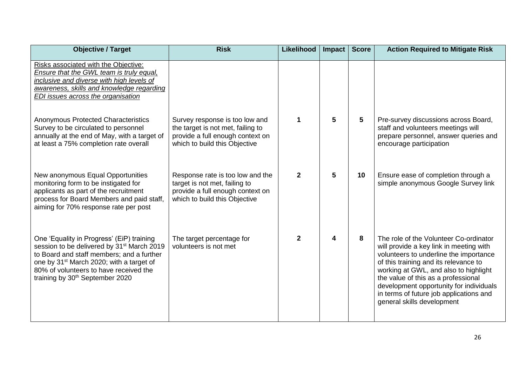| <b>Objective / Target</b>                                                                                                                                                                                                                                                                         | <b>Risk</b>                                                                                                                              | Likelihood   | Impact | <b>Score</b> | <b>Action Required to Mitigate Risk</b>                                                                                                                                                                                                                                                                                                                                  |
|---------------------------------------------------------------------------------------------------------------------------------------------------------------------------------------------------------------------------------------------------------------------------------------------------|------------------------------------------------------------------------------------------------------------------------------------------|--------------|--------|--------------|--------------------------------------------------------------------------------------------------------------------------------------------------------------------------------------------------------------------------------------------------------------------------------------------------------------------------------------------------------------------------|
| Risks associated with the Objective:<br>Ensure that the GWL team is truly equal,<br>inclusive and diverse with high levels of<br>awareness, skills and knowledge regarding<br>EDI issues across the organisation                                                                                  |                                                                                                                                          |              |        |              |                                                                                                                                                                                                                                                                                                                                                                          |
| <b>Anonymous Protected Characteristics</b><br>Survey to be circulated to personnel<br>annually at the end of May, with a target of<br>at least a 75% completion rate overall                                                                                                                      | Survey response is too low and<br>the target is not met, failing to<br>provide a full enough context on<br>which to build this Objective | 1            | 5      | 5            | Pre-survey discussions across Board,<br>staff and volunteers meetings will<br>prepare personnel, answer queries and<br>encourage participation                                                                                                                                                                                                                           |
| New anonymous Equal Opportunities<br>monitoring form to be instigated for<br>applicants as part of the recruitment<br>process for Board Members and paid staff,<br>aiming for 70% response rate per post                                                                                          | Response rate is too low and the<br>target is not met, failing to<br>provide a full enough context on<br>which to build this Objective   | $\mathbf{2}$ | 5      | 10           | Ensure ease of completion through a<br>simple anonymous Google Survey link                                                                                                                                                                                                                                                                                               |
| One 'Equality in Progress' (EiP) training<br>session to be delivered by 31 <sup>st</sup> March 2019<br>to Board and staff members; and a further<br>one by 31 <sup>st</sup> March 2020; with a target of<br>80% of volunteers to have received the<br>training by 30 <sup>th</sup> September 2020 | The target percentage for<br>volunteers is not met                                                                                       | 2            | 4      | 8            | The role of the Volunteer Co-ordinator<br>will provide a key link in meeting with<br>volunteers to underline the importance<br>of this training and its relevance to<br>working at GWL, and also to highlight<br>the value of this as a professional<br>development opportunity for individuals<br>in terms of future job applications and<br>general skills development |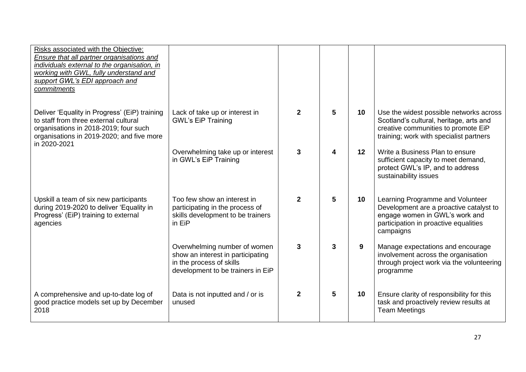| Risks associated with the Objective:<br><b>Ensure that all partner organisations and</b><br>individuals external to the organisation, in<br>working with GWL, fully understand and<br>support GWL's EDI approach and<br>commitments |                                                                                                                                    |              |   |    |                                                                                                                                                                      |
|-------------------------------------------------------------------------------------------------------------------------------------------------------------------------------------------------------------------------------------|------------------------------------------------------------------------------------------------------------------------------------|--------------|---|----|----------------------------------------------------------------------------------------------------------------------------------------------------------------------|
| Deliver 'Equality in Progress' (EiP) training<br>to staff from three external cultural<br>organisations in 2018-2019; four such<br>organisations in 2019-2020; and five more<br>in 2020-2021                                        | Lack of take up or interest in<br><b>GWL's EiP Training</b>                                                                        | $\mathbf{2}$ | 5 | 10 | Use the widest possible networks across<br>Scotland's cultural, heritage, arts and<br>creative communities to promote EiP<br>training; work with specialist partners |
|                                                                                                                                                                                                                                     | Overwhelming take up or interest<br>in GWL's EiP Training                                                                          | 3            | 4 | 12 | Write a Business Plan to ensure<br>sufficient capacity to meet demand,<br>protect GWL's IP, and to address<br>sustainability issues                                  |
| Upskill a team of six new participants<br>during 2019-2020 to deliver 'Equality in<br>Progress' (EiP) training to external<br>agencies                                                                                              | Too few show an interest in<br>participating in the process of<br>skills development to be trainers<br>in EiP                      | $\mathbf{2}$ | 5 | 10 | Learning Programme and Volunteer<br>Development are a proactive catalyst to<br>engage women in GWL's work and<br>participation in proactive equalities<br>campaigns  |
|                                                                                                                                                                                                                                     | Overwhelming number of women<br>show an interest in participating<br>in the process of skills<br>development to be trainers in EiP | 3            | 3 | 9  | Manage expectations and encourage<br>involvement across the organisation<br>through project work via the volunteering<br>programme                                   |
| A comprehensive and up-to-date log of<br>good practice models set up by December<br>2018                                                                                                                                            | Data is not inputted and / or is<br>unused                                                                                         | $\mathbf{2}$ | 5 | 10 | Ensure clarity of responsibility for this<br>task and proactively review results at<br><b>Team Meetings</b>                                                          |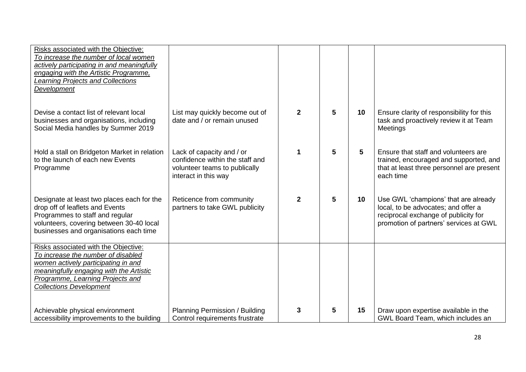| Risks associated with the Objective:<br>To increase the number of local women<br>actively participating in and meaningfully<br>engaging with the Artistic Programme,<br>Learning Projects and Collections<br><b>Development</b>    |                                                                                                                       |                |   |    |                                                                                                                                                               |
|------------------------------------------------------------------------------------------------------------------------------------------------------------------------------------------------------------------------------------|-----------------------------------------------------------------------------------------------------------------------|----------------|---|----|---------------------------------------------------------------------------------------------------------------------------------------------------------------|
| Devise a contact list of relevant local<br>businesses and organisations, including<br>Social Media handles by Summer 2019                                                                                                          | List may quickly become out of<br>date and / or remain unused                                                         | $\overline{2}$ | 5 | 10 | Ensure clarity of responsibility for this<br>task and proactively review it at Team<br>Meetings                                                               |
| Hold a stall on Bridgeton Market in relation<br>to the launch of each new Events<br>Programme                                                                                                                                      | Lack of capacity and / or<br>confidence within the staff and<br>volunteer teams to publically<br>interact in this way | 1              | 5 | 5  | Ensure that staff and volunteers are<br>trained, encouraged and supported, and<br>that at least three personnel are present<br>each time                      |
| Designate at least two places each for the<br>drop off of leaflets and Events<br>Programmes to staff and regular<br>volunteers, covering between 30-40 local<br>businesses and organisations each time                             | Reticence from community<br>partners to take GWL publicity                                                            | $\mathbf{2}$   | 5 | 10 | Use GWL 'champions' that are already<br>local, to be advocates; and offer a<br>reciprocal exchange of publicity for<br>promotion of partners' services at GWL |
| Risks associated with the Objective:<br>To increase the number of disabled<br>women actively participating in and<br>meaningfully engaging with the Artistic<br>Programme, Learning Projects and<br><b>Collections Development</b> |                                                                                                                       |                |   |    |                                                                                                                                                               |
| Achievable physical environment<br>accessibility improvements to the building                                                                                                                                                      | Planning Permission / Building<br>Control requirements frustrate                                                      | 3              | 5 | 15 | Draw upon expertise available in the<br>GWL Board Team, which includes an                                                                                     |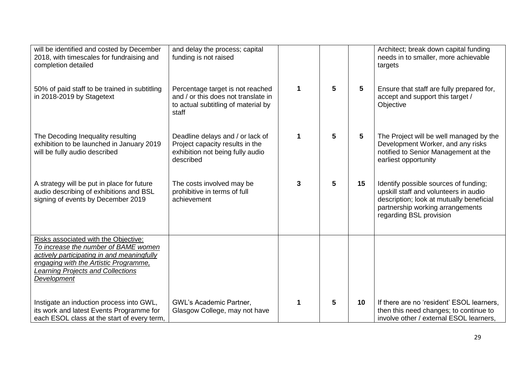| will be identified and costed by December<br>2018, with timescales for fundraising and<br>completion detailed                                                                                                           | and delay the process; capital<br>funding is not raised                                                                 |   |   |    | Architect; break down capital funding<br>needs in to smaller, more achievable<br>targets                                                                                                  |
|-------------------------------------------------------------------------------------------------------------------------------------------------------------------------------------------------------------------------|-------------------------------------------------------------------------------------------------------------------------|---|---|----|-------------------------------------------------------------------------------------------------------------------------------------------------------------------------------------------|
| 50% of paid staff to be trained in subtitling<br>in 2018-2019 by Stagetext                                                                                                                                              | Percentage target is not reached<br>and / or this does not translate in<br>to actual subtitling of material by<br>staff | 1 | 5 | 5  | Ensure that staff are fully prepared for,<br>accept and support this target /<br>Objective                                                                                                |
| The Decoding Inequality resulting<br>exhibition to be launched in January 2019<br>will be fully audio described                                                                                                         | Deadline delays and / or lack of<br>Project capacity results in the<br>exhibition not being fully audio<br>described    | 1 | 5 | 5  | The Project will be well managed by the<br>Development Worker, and any risks<br>notified to Senior Management at the<br>earliest opportunity                                              |
| A strategy will be put in place for future<br>audio describing of exhibitions and BSL<br>signing of events by December 2019                                                                                             | The costs involved may be<br>prohibitive in terms of full<br>achievement                                                | 3 | 5 | 15 | Identify possible sources of funding;<br>upskill staff and volunteers in audio<br>description; look at mutually beneficial<br>partnership working arrangements<br>regarding BSL provision |
| Risks associated with the Objective:<br>To increase the number of BAME women<br>actively participating in and meaningfully<br>engaging with the Artistic Programme,<br>Learning Projects and Collections<br>Development |                                                                                                                         |   |   |    |                                                                                                                                                                                           |
| Instigate an induction process into GWL,<br>its work and latest Events Programme for<br>each ESOL class at the start of every term,                                                                                     | <b>GWL's Academic Partner,</b><br>Glasgow College, may not have                                                         | 1 | 5 | 10 | If there are no 'resident' ESOL learners.<br>then this need changes; to continue to<br>involve other / external ESOL learners.                                                            |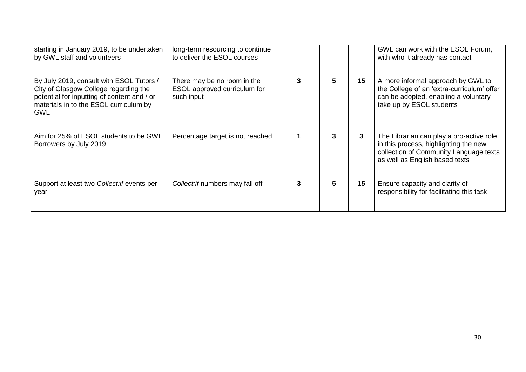| starting in January 2019, to be undertaken<br>by GWL staff and volunteers                                                                                                                | long-term resourcing to continue<br>to deliver the ESOL courses           |    |    | GWL can work with the ESOL Forum,<br>with who it already has contact                                                                                          |
|------------------------------------------------------------------------------------------------------------------------------------------------------------------------------------------|---------------------------------------------------------------------------|----|----|---------------------------------------------------------------------------------------------------------------------------------------------------------------|
| By July 2019, consult with ESOL Tutors /<br>City of Glasgow College regarding the<br>potential for inputting of content and / or<br>materials in to the ESOL curriculum by<br><b>GWL</b> | There may be no room in the<br>ESOL approved curriculum for<br>such input | 5  | 15 | A more informal approach by GWL to<br>the College of an 'extra-curriculum' offer<br>can be adopted, enabling a voluntary<br>take up by ESOL students          |
| Aim for 25% of ESOL students to be GWL<br>Borrowers by July 2019                                                                                                                         | Percentage target is not reached                                          | 3  | 3  | The Librarian can play a pro-active role<br>in this process, highlighting the new<br>collection of Community Language texts<br>as well as English based texts |
| Support at least two Collect: if events per<br>year                                                                                                                                      | Collect: if numbers may fall off                                          | 5. | 15 | Ensure capacity and clarity of<br>responsibility for facilitating this task                                                                                   |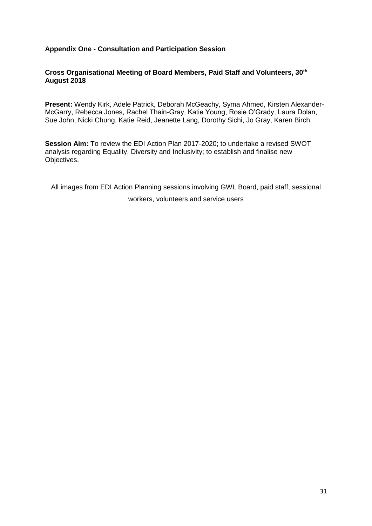#### **Appendix One - Consultation and Participation Session**

#### **Cross Organisational Meeting of Board Members, Paid Staff and Volunteers, 30th August 2018**

**Present:** Wendy Kirk, Adele Patrick, Deborah McGeachy, Syma Ahmed, Kirsten Alexander-McGarry, Rebecca Jones, Rachel Thain-Gray, Katie Young, Rosie O'Grady, Laura Dolan, Sue John, Nicki Chung, Katie Reid, Jeanette Lang, Dorothy Sichi, Jo Gray, Karen Birch.

**Session Aim:** To review the EDI Action Plan 2017-2020; to undertake a revised SWOT analysis regarding Equality, Diversity and Inclusivity; to establish and finalise new Objectives.

All images from EDI Action Planning sessions involving GWL Board, paid staff, sessional workers, volunteers and service users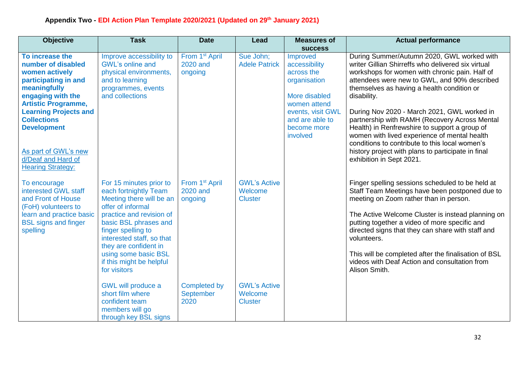| <b>Objective</b>                                                                                                                                                                                                                                                                                         | <b>Task</b>                                                                                                                                                                                                                                                                                                                                      | <b>Date</b>                                                                           | <b>Lead</b>                                                                        | <b>Measures of</b>                                                                                                                                                            | <b>Actual performance</b>                                                                                                                                                                                                                                                                                                                                                                                                                                                                                                                                                                            |
|----------------------------------------------------------------------------------------------------------------------------------------------------------------------------------------------------------------------------------------------------------------------------------------------------------|--------------------------------------------------------------------------------------------------------------------------------------------------------------------------------------------------------------------------------------------------------------------------------------------------------------------------------------------------|---------------------------------------------------------------------------------------|------------------------------------------------------------------------------------|-------------------------------------------------------------------------------------------------------------------------------------------------------------------------------|------------------------------------------------------------------------------------------------------------------------------------------------------------------------------------------------------------------------------------------------------------------------------------------------------------------------------------------------------------------------------------------------------------------------------------------------------------------------------------------------------------------------------------------------------------------------------------------------------|
| To increase the<br>number of disabled<br>women actively<br>participating in and<br>meaningfully<br>engaging with the<br><b>Artistic Programme,</b><br><b>Learning Projects and</b><br><b>Collections</b><br><b>Development</b><br>As part of GWL's new<br>d/Deaf and Hard of<br><b>Hearing Strategy:</b> | Improve accessibility to<br><b>GWL's online and</b><br>physical environments,<br>and to learning<br>programmes, events<br>and collections                                                                                                                                                                                                        | From 1 <sup>st</sup> April<br>2020 and<br>ongoing                                     | Sue John;<br><b>Adele Patrick</b>                                                  | <b>success</b><br>Improved<br>accessibility<br>across the<br>organisation<br>More disabled<br>women attend<br>events, visit GWL<br>and are able to<br>become more<br>involved | During Summer/Autumn 2020, GWL worked with<br>writer Gillian Shirreffs who delivered six virtual<br>workshops for women with chronic pain. Half of<br>attendees were new to GWL, and 90% described<br>themselves as having a health condition or<br>disability.<br>During Nov 2020 - March 2021, GWL worked in<br>partnership with RAMH (Recovery Across Mental<br>Health) in Renfrewshire to support a group of<br>women with lived experience of mental health<br>conditions to contribute to this local women's<br>history project with plans to participate in final<br>exhibition in Sept 2021. |
| To encourage<br>interested GWL staff<br>and Front of House<br>(FoH) volunteers to<br>learn and practice basic<br><b>BSL signs and finger</b><br>spelling                                                                                                                                                 | For 15 minutes prior to<br>each fortnightly Team<br>Meeting there will be an<br>offer of informal<br>practice and revision of<br>basic BSL phrases and<br>finger spelling to<br>interested staff, so that<br>they are confident in<br>using some basic BSL<br>if this might be helpful<br>for visitors<br>GWL will produce a<br>short film where | From 1 <sup>st</sup> April<br>2020 and<br>ongoing<br><b>Completed by</b><br>September | <b>GWL's Active</b><br>Welcome<br><b>Cluster</b><br><b>GWL's Active</b><br>Welcome |                                                                                                                                                                               | Finger spelling sessions scheduled to be held at<br>Staff Team Meetings have been postponed due to<br>meeting on Zoom rather than in person.<br>The Active Welcome Cluster is instead planning on<br>putting together a video of more specific and<br>directed signs that they can share with staff and<br>volunteers.<br>This will be completed after the finalisation of BSL<br>videos with Deaf Action and consultation from<br>Alison Smith.                                                                                                                                                     |
|                                                                                                                                                                                                                                                                                                          | confident team<br>members will go<br>through key BSL signs                                                                                                                                                                                                                                                                                       | 2020                                                                                  | <b>Cluster</b>                                                                     |                                                                                                                                                                               |                                                                                                                                                                                                                                                                                                                                                                                                                                                                                                                                                                                                      |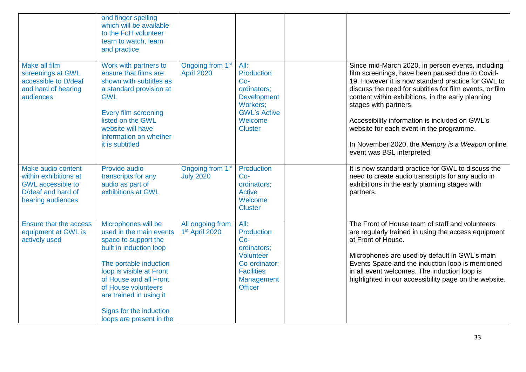|                                                                                                                    | and finger spelling<br>which will be available<br>to the FoH volunteer<br>team to watch, learn<br>and practice                                                                                                                                                                             |                                                   |                                                                                                                                  |                                                                                                                                                                                                                                                                                                                                                                                                                                                                                    |
|--------------------------------------------------------------------------------------------------------------------|--------------------------------------------------------------------------------------------------------------------------------------------------------------------------------------------------------------------------------------------------------------------------------------------|---------------------------------------------------|----------------------------------------------------------------------------------------------------------------------------------|------------------------------------------------------------------------------------------------------------------------------------------------------------------------------------------------------------------------------------------------------------------------------------------------------------------------------------------------------------------------------------------------------------------------------------------------------------------------------------|
| <b>Make all film</b><br>screenings at GWL<br>accessible to D/deaf<br>and hard of hearing<br>audiences              | Work with partners to<br>ensure that films are<br>shown with subtitles as<br>a standard provision at<br><b>GWL</b><br>Every film screening<br>listed on the GWL<br>website will have<br>information on whether<br>it is subtitled                                                          | Ongoing from 1 <sup>st</sup><br><b>April 2020</b> | All:<br>Production<br>$Co-$<br>ordinators;<br><b>Development</b><br>Workers;<br><b>GWL's Active</b><br>Welcome<br><b>Cluster</b> | Since mid-March 2020, in person events, including<br>film screenings, have been paused due to Covid-<br>19. However it is now standard practice for GWL to<br>discuss the need for subtitles for film events, or film<br>content within exhibitions, in the early planning<br>stages with partners.<br>Accessibility information is included on GWL's<br>website for each event in the programme.<br>In November 2020, the Memory is a Weapon online<br>event was BSL interpreted. |
| Make audio content<br>within exhibitions at<br><b>GWL</b> accessible to<br>D/deaf and hard of<br>hearing audiences | Provide audio<br>transcripts for any<br>audio as part of<br>exhibitions at GWL                                                                                                                                                                                                             | Ongoing from 1 <sup>st</sup><br><b>July 2020</b>  | Production<br>$Co-$<br>ordinators;<br><b>Active</b><br>Welcome<br><b>Cluster</b>                                                 | It is now standard practice for GWL to discuss the<br>need to create audio transcripts for any audio in<br>exhibitions in the early planning stages with<br>partners.                                                                                                                                                                                                                                                                                                              |
| <b>Ensure that the access</b><br>equipment at GWL is<br>actively used                                              | Microphones will be<br>used in the main events<br>space to support the<br>built in induction loop<br>The portable induction<br>loop is visible at Front<br>of House and all Front<br>of House volunteers<br>are trained in using it<br>Signs for the induction<br>loops are present in the | All ongoing from<br>1 <sup>st</sup> April 2020    | All:<br>Production<br>$Co-$<br>ordinators;<br>Volunteer<br>Co-ordinator;<br><b>Facilities</b><br>Management<br><b>Officer</b>    | The Front of House team of staff and volunteers<br>are regularly trained in using the access equipment<br>at Front of House.<br>Microphones are used by default in GWL's main<br>Events Space and the induction loop is mentioned<br>in all event welcomes. The induction loop is<br>highlighted in our accessibility page on the website.                                                                                                                                         |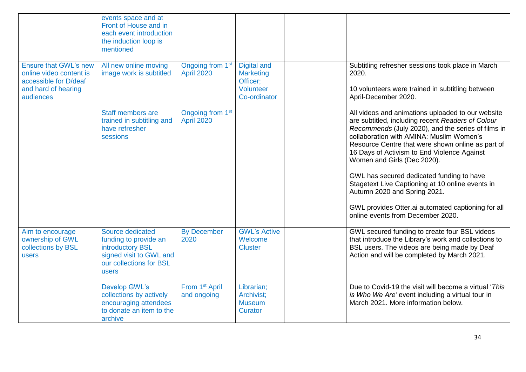|                                                                                                                      | events space and at<br>Front of House and in<br>each event introduction<br>the induction loop is<br>mentioned                |                                                   |                                                                          |                                                                                                                                                                                                                                                                                                                                                                                                                                                                                                                                                                         |
|----------------------------------------------------------------------------------------------------------------------|------------------------------------------------------------------------------------------------------------------------------|---------------------------------------------------|--------------------------------------------------------------------------|-------------------------------------------------------------------------------------------------------------------------------------------------------------------------------------------------------------------------------------------------------------------------------------------------------------------------------------------------------------------------------------------------------------------------------------------------------------------------------------------------------------------------------------------------------------------------|
| <b>Ensure that GWL's new</b><br>online video content is<br>accessible for D/deaf<br>and hard of hearing<br>audiences | All new online moving<br>image work is subtitled                                                                             | Ongoing from 1 <sup>st</sup><br><b>April 2020</b> | Digital and<br><b>Marketing</b><br>Officer:<br>Volunteer<br>Co-ordinator | Subtitling refresher sessions took place in March<br>2020.<br>10 volunteers were trained in subtitling between<br>April-December 2020.                                                                                                                                                                                                                                                                                                                                                                                                                                  |
|                                                                                                                      | Staff members are<br>trained in subtitling and<br>have refresher<br>sessions                                                 | Ongoing from 1 <sup>st</sup><br><b>April 2020</b> |                                                                          | All videos and animations uploaded to our website<br>are subtitled, including recent Readers of Colour<br>Recommends (July 2020), and the series of films in<br>collaboration with AMINA: Muslim Women's<br>Resource Centre that were shown online as part of<br>16 Days of Activism to End Violence Against<br>Women and Girls (Dec 2020).<br>GWL has secured dedicated funding to have<br>Stagetext Live Captioning at 10 online events in<br>Autumn 2020 and Spring 2021.<br>GWL provides Otter.ai automated captioning for all<br>online events from December 2020. |
| Aim to encourage<br>ownership of GWL<br>collections by BSL<br>users                                                  | Source dedicated<br>funding to provide an<br>introductory BSL<br>signed visit to GWL and<br>our collections for BSL<br>users | <b>By December</b><br>2020                        | <b>GWL's Active</b><br>Welcome<br><b>Cluster</b>                         | GWL secured funding to create four BSL videos<br>that introduce the Library's work and collections to<br>BSL users. The videos are being made by Deaf<br>Action and will be completed by March 2021.                                                                                                                                                                                                                                                                                                                                                                    |
|                                                                                                                      | <b>Develop GWL's</b><br>collections by actively<br>encouraging attendees<br>to donate an item to the<br>archive              | From 1 <sup>st</sup> April<br>and ongoing         | Librarian;<br>Archivist;<br><b>Museum</b><br><b>Curator</b>              | Due to Covid-19 the visit will become a virtual 'This<br>is Who We Are' event including a virtual tour in<br>March 2021. More information below.                                                                                                                                                                                                                                                                                                                                                                                                                        |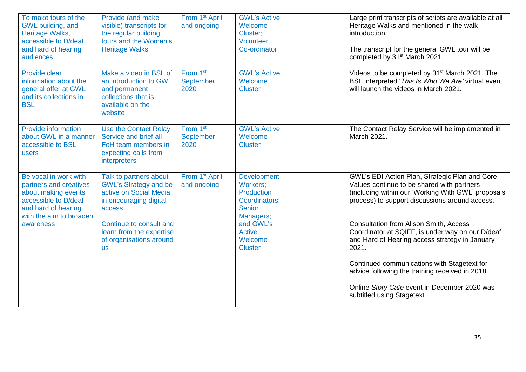| To make tours of the<br>GWL building, and<br>Heritage Walks,<br>accessible to D/deaf<br>and hard of hearing<br>audiences                                      | Provide (and make<br>visible) transcripts for<br>the regular building<br>tours and the Women's<br><b>Heritage Walks</b>                                                                                             | From 1 <sup>st</sup> April<br>and ongoing        | <b>GWL's Active</b><br>Welcome<br>Cluster;<br>Volunteer<br>Co-ordinator                                                                                | Large print transcripts of scripts are available at all<br>Heritage Walks and mentioned in the walk<br>introduction.<br>The transcript for the general GWL tour will be<br>completed by 31 <sup>st</sup> March 2021.                                                                                                                                                                                                                                                                                                                                |
|---------------------------------------------------------------------------------------------------------------------------------------------------------------|---------------------------------------------------------------------------------------------------------------------------------------------------------------------------------------------------------------------|--------------------------------------------------|--------------------------------------------------------------------------------------------------------------------------------------------------------|-----------------------------------------------------------------------------------------------------------------------------------------------------------------------------------------------------------------------------------------------------------------------------------------------------------------------------------------------------------------------------------------------------------------------------------------------------------------------------------------------------------------------------------------------------|
| Provide clear<br>information about the<br>general offer at GWL<br>and its collections in<br><b>BSL</b>                                                        | Make a video in BSL of<br>an introduction to GWL<br>and permanent<br>collections that is<br>available on the<br>website                                                                                             | From 1 <sup>st</sup><br>September<br>2020        | <b>GWL's Active</b><br>Welcome<br><b>Cluster</b>                                                                                                       | Videos to be completed by 31 <sup>st</sup> March 2021. The<br>BSL interpreted 'This Is Who We Are' virtual event<br>will launch the videos in March 2021.                                                                                                                                                                                                                                                                                                                                                                                           |
| <b>Provide information</b><br>about GWL in a manner<br>accessible to BSL<br>users                                                                             | <b>Use the Contact Relay</b><br>Service and brief all<br>FoH team members in<br>expecting calls from<br>interpreters                                                                                                | From 1 <sup>st</sup><br><b>September</b><br>2020 | <b>GWL's Active</b><br>Welcome<br><b>Cluster</b>                                                                                                       | The Contact Relay Service will be implemented in<br>March 2021.                                                                                                                                                                                                                                                                                                                                                                                                                                                                                     |
| Be vocal in work with<br>partners and creatives<br>about making events<br>accessible to D/deaf<br>and hard of hearing<br>with the aim to broaden<br>awareness | Talk to partners about<br><b>GWL's Strategy and be</b><br>active on Social Media<br>in encouraging digital<br>access<br>Continue to consult and<br>learn from the expertise<br>of organisations around<br><b>us</b> | From 1 <sup>st</sup> April<br>and ongoing        | <b>Development</b><br>Workers;<br>Production<br>Coordinators;<br><b>Senior</b><br>Managers;<br>and GWL's<br><b>Active</b><br>Welcome<br><b>Cluster</b> | GWL's EDI Action Plan, Strategic Plan and Core<br>Values continue to be shared with partners<br>(including within our 'Working With GWL' proposals<br>process) to support discussions around access.<br><b>Consultation from Alison Smith, Access</b><br>Coordinator at SQIFF, is under way on our D/deaf<br>and Hard of Hearing access strategy in January<br>2021.<br>Continued communications with Stagetext for<br>advice following the training received in 2018.<br>Online Story Cafe event in December 2020 was<br>subtitled using Stagetext |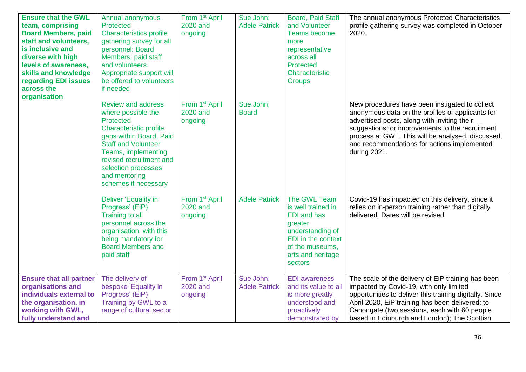| <b>Ensure that the GWL</b><br>team, comprising<br><b>Board Members, paid</b><br>staff and volunteers,<br>is inclusive and<br>diverse with high<br>levels of awareness,<br>skills and knowledge<br>regarding EDI issues<br>across the<br>organisation | Annual anonymous<br>Protected<br><b>Characteristics profile</b><br>gathering survey for all<br>personnel: Board<br>Members, paid staff<br>and volunteers.<br>Appropriate support will<br>be offered to volunteers<br>if needed                                    | From 1 <sup>st</sup> April<br>2020 and<br>ongoing | Sue John;<br><b>Adele Patrick</b> | Board, Paid Staff<br>and Volunteer<br><b>Teams become</b><br>more<br>representative<br>across all<br>Protected<br>Characteristic<br><b>Groups</b>                | The annual anonymous Protected Characteristics<br>profile gathering survey was completed in October<br>2020.                                                                                                                                                                                                             |
|------------------------------------------------------------------------------------------------------------------------------------------------------------------------------------------------------------------------------------------------------|-------------------------------------------------------------------------------------------------------------------------------------------------------------------------------------------------------------------------------------------------------------------|---------------------------------------------------|-----------------------------------|------------------------------------------------------------------------------------------------------------------------------------------------------------------|--------------------------------------------------------------------------------------------------------------------------------------------------------------------------------------------------------------------------------------------------------------------------------------------------------------------------|
|                                                                                                                                                                                                                                                      | <b>Review and address</b><br>where possible the<br>Protected<br>Characteristic profile<br>gaps within Board, Paid<br><b>Staff and Volunteer</b><br>Teams, implementing<br>revised recruitment and<br>selection processes<br>and mentoring<br>schemes if necessary | From 1 <sup>st</sup> April<br>2020 and<br>ongoing | Sue John;<br><b>Board</b>         |                                                                                                                                                                  | New procedures have been instigated to collect<br>anonymous data on the profiles of applicants for<br>advertised posts, along with inviting their<br>suggestions for improvements to the recruitment<br>process at GWL. This will be analysed, discussed,<br>and recommendations for actions implemented<br>during 2021. |
|                                                                                                                                                                                                                                                      | Deliver 'Equality in<br>Progress' (EiP)<br><b>Training to all</b><br>personnel across the<br>organisation, with this<br>being mandatory for<br><b>Board Members and</b><br>paid staff                                                                             | From 1 <sup>st</sup> April<br>2020 and<br>ongoing | <b>Adele Patrick</b>              | The GWL Team<br>is well trained in<br><b>EDI</b> and has<br>greater<br>understanding of<br>EDI in the context<br>of the museums,<br>arts and heritage<br>sectors | Covid-19 has impacted on this delivery, since it<br>relies on in-person training rather than digitally<br>delivered. Dates will be revised.                                                                                                                                                                              |
| <b>Ensure that all partner</b><br>organisations and<br>individuals external to<br>the organisation, in<br>working with GWL,<br>fully understand and                                                                                                  | The delivery of<br>bespoke 'Equality in<br>Progress' (EiP)<br>Training by GWL to a<br>range of cultural sector                                                                                                                                                    | From 1 <sup>st</sup> April<br>2020 and<br>ongoing | Sue John;<br><b>Adele Patrick</b> | <b>EDI</b> awareness<br>and its value to all<br>is more greatly<br>understood and<br>proactively<br>demonstrated by                                              | The scale of the delivery of EiP training has been<br>impacted by Covid-19, with only limited<br>opportunities to deliver this training digitally. Since<br>April 2020, EiP training has been delivered: to<br>Canongate (two sessions, each with 60 people<br>based in Edinburgh and London); The Scottish              |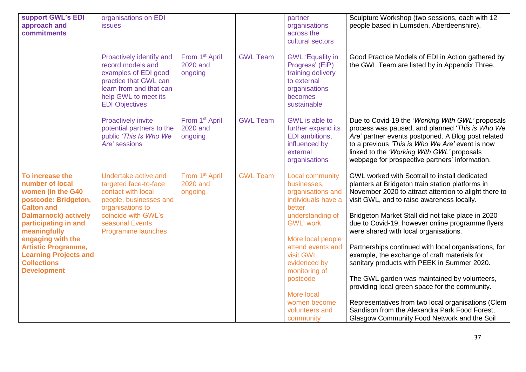| support GWL's EDI<br>approach and<br>commitments                                                                                                                                                                                                                                                           | organisations on EDI<br><i>issues</i><br>Proactively identify and<br>record models and<br>examples of EDI good<br>practice that GWL can<br>learn from and that can<br>help GWL to meet its<br><b>EDI Objectives</b> | From 1 <sup>st</sup> April<br>2020 and<br>ongoing | <b>GWL Team</b> | partner<br>organisations<br>across the<br>cultural sectors<br><b>GWL</b> 'Equality in<br>Progress' (EiP)<br>training delivery<br>to external<br>organisations<br>becomes<br>sustainable                                                                                                              | Sculpture Workshop (two sessions, each with 12<br>people based in Lumsden, Aberdeenshire).<br>Good Practice Models of EDI in Action gathered by<br>the GWL Team are listed by in Appendix Three.                                                                                                                                                                                                                                                                                                                                                                                                                                                                                                                                                                          |
|------------------------------------------------------------------------------------------------------------------------------------------------------------------------------------------------------------------------------------------------------------------------------------------------------------|---------------------------------------------------------------------------------------------------------------------------------------------------------------------------------------------------------------------|---------------------------------------------------|-----------------|------------------------------------------------------------------------------------------------------------------------------------------------------------------------------------------------------------------------------------------------------------------------------------------------------|---------------------------------------------------------------------------------------------------------------------------------------------------------------------------------------------------------------------------------------------------------------------------------------------------------------------------------------------------------------------------------------------------------------------------------------------------------------------------------------------------------------------------------------------------------------------------------------------------------------------------------------------------------------------------------------------------------------------------------------------------------------------------|
|                                                                                                                                                                                                                                                                                                            | <b>Proactively invite</b><br>potential partners to the<br>public 'This Is Who We<br>Are' sessions                                                                                                                   | From 1 <sup>st</sup> April<br>2020 and<br>ongoing | <b>GWL Team</b> | GWL is able to<br>further expand its<br>EDI ambitions,<br>influenced by<br>external<br>organisations                                                                                                                                                                                                 | Due to Covid-19 the 'Working With GWL' proposals<br>process was paused, and planned 'This is Who We<br>Are' partner events postponed. A Blog post related<br>to a previous 'This is Who We Are' event is now<br>linked to the 'Working With GWL' proposals<br>webpage for prospective partners' information.                                                                                                                                                                                                                                                                                                                                                                                                                                                              |
| To increase the<br>number of local<br>women (in the G40<br>postcode: Bridgeton,<br><b>Calton and</b><br><b>Dalmarnock) actively</b><br>participating in and<br>meaningfully<br>engaging with the<br><b>Artistic Programme,</b><br><b>Learning Projects and</b><br><b>Collections</b><br><b>Development</b> | Undertake active and<br>targeted face-to-face<br>contact with local<br>people, businesses and<br>organisations to<br>coincide with GWL's<br>seasonal Events<br>Programme launches                                   | From 1 <sup>st</sup> April<br>2020 and<br>ongoing | <b>GWL Team</b> | <b>Local community</b><br>businesses,<br>organisations and<br>individuals have a<br>better<br>understanding of<br><b>GWL' work</b><br>More local people<br>attend events and<br>visit GWL,<br>evidenced by<br>monitoring of<br>postcode<br>More local<br>women become<br>volunteers and<br>community | GWL worked with Scotrail to install dedicated<br>planters at Bridgeton train station platforms in<br>November 2020 to attract attention to alight there to<br>visit GWL, and to raise awareness locally.<br>Bridgeton Market Stall did not take place in 2020<br>due to Covid-19, however online programme flyers<br>were shared with local organisations.<br>Partnerships continued with local organisations, for<br>example, the exchange of craft materials for<br>sanitary products with PEEK in Summer 2020.<br>The GWL garden was maintained by volunteers,<br>providing local green space for the community.<br>Representatives from two local organisations (Clem<br>Sandison from the Alexandra Park Food Forest,<br>Glasgow Community Food Network and the Soil |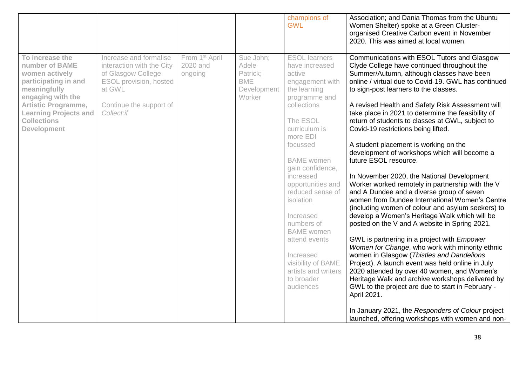|                                                                                                                                                                                                                            |                                                                                                                                                        |                                                   |                                                                       | champions of<br><b>GWL</b>                                                                                                                                                                                                                                                                                                                                                                                                                 | Association; and Dania Thomas from the Ubuntu<br>Women Shelter) spoke at a Green Cluster-<br>organised Creative Carbon event in November<br>2020. This was aimed at local women.                                                                                                                                                                                                                                                                                                                                                                                                                                                                                                                                                                                                                                                                                                                                                                                                                                                                                                                                                                                                                                                                                                                                                                                                                          |
|----------------------------------------------------------------------------------------------------------------------------------------------------------------------------------------------------------------------------|--------------------------------------------------------------------------------------------------------------------------------------------------------|---------------------------------------------------|-----------------------------------------------------------------------|--------------------------------------------------------------------------------------------------------------------------------------------------------------------------------------------------------------------------------------------------------------------------------------------------------------------------------------------------------------------------------------------------------------------------------------------|-----------------------------------------------------------------------------------------------------------------------------------------------------------------------------------------------------------------------------------------------------------------------------------------------------------------------------------------------------------------------------------------------------------------------------------------------------------------------------------------------------------------------------------------------------------------------------------------------------------------------------------------------------------------------------------------------------------------------------------------------------------------------------------------------------------------------------------------------------------------------------------------------------------------------------------------------------------------------------------------------------------------------------------------------------------------------------------------------------------------------------------------------------------------------------------------------------------------------------------------------------------------------------------------------------------------------------------------------------------------------------------------------------------|
| To increase the<br>number of BAME<br>women actively<br>participating in and<br>meaningfully<br>engaging with the<br><b>Artistic Programme,</b><br><b>Learning Projects and</b><br><b>Collections</b><br><b>Development</b> | Increase and formalise<br>interaction with the City<br>of Glasgow College<br>ESOL provision, hosted<br>at GWL<br>Continue the support of<br>Collect:if | From 1 <sup>st</sup> April<br>2020 and<br>ongoing | Sue John;<br>Adele<br>Patrick;<br><b>BME</b><br>Development<br>Worker | <b>ESOL</b> learners<br>have increased<br>active<br>engagement with<br>the learning<br>programme and<br>collections<br>The ESOL<br>curriculum is<br>more EDI<br>focussed<br><b>BAME</b> women<br>gain confidence,<br>increased<br>opportunities and<br>reduced sense of<br>isolation<br>Increased<br>numbers of<br><b>BAME</b> women<br>attend events<br>Increased<br>visibility of BAME<br>artists and writers<br>to broader<br>audiences | Communications with ESOL Tutors and Glasgow<br>Clyde College have continued throughout the<br>Summer/Autumn, although classes have been<br>online / virtual due to Covid-19. GWL has continued<br>to sign-post learners to the classes.<br>A revised Health and Safety Risk Assessment will<br>take place in 2021 to determine the feasibility of<br>return of students to classes at GWL, subject to<br>Covid-19 restrictions being lifted.<br>A student placement is working on the<br>development of workshops which will become a<br>future ESOL resource.<br>In November 2020, the National Development<br>Worker worked remotely in partnership with the V<br>and A Dundee and a diverse group of seven<br>women from Dundee International Women's Centre<br>(including women of colour and asylum seekers) to<br>develop a Women's Heritage Walk which will be<br>posted on the V and A website in Spring 2021.<br>GWL is partnering in a project with Empower<br>Women for Change, who work with minority ethnic<br>women in Glasgow (Thistles and Dandelions<br>Project). A launch event was held online in July<br>2020 attended by over 40 women, and Women's<br>Heritage Walk and archive workshops delivered by<br>GWL to the project are due to start in February -<br>April 2021.<br>In January 2021, the Responders of Colour project<br>launched, offering workshops with women and non- |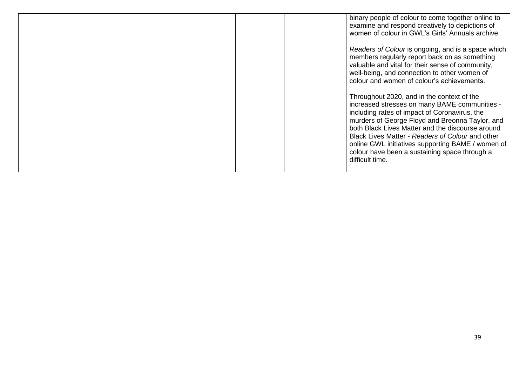|  |  | binary people of colour to come together online to<br>examine and respond creatively to depictions of<br>women of colour in GWL's Girls' Annuals archive.                                                                                                                                                                                                                                                                        |
|--|--|----------------------------------------------------------------------------------------------------------------------------------------------------------------------------------------------------------------------------------------------------------------------------------------------------------------------------------------------------------------------------------------------------------------------------------|
|  |  | Readers of Colour is ongoing, and is a space which<br>members regularly report back on as something<br>valuable and vital for their sense of community,<br>well-being, and connection to other women of<br>colour and women of colour's achievements.                                                                                                                                                                            |
|  |  | Throughout 2020, and in the context of the<br>increased stresses on many BAME communities -<br>including rates of impact of Coronavirus, the<br>murders of George Floyd and Breonna Taylor, and<br>both Black Lives Matter and the discourse around<br>Black Lives Matter - Readers of Colour and other<br>online GWL initiatives supporting BAME / women of<br>colour have been a sustaining space through a<br>difficult time. |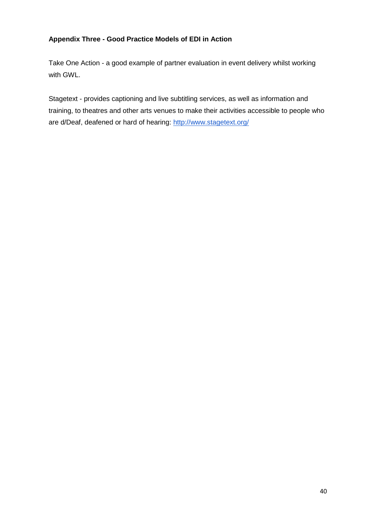#### **Appendix Three - Good Practice Models of EDI in Action**

Take One Action - a good example of partner evaluation in event delivery whilst working with GWL.

Stagetext - provides captioning and live subtitling services, as well as information and training, to theatres and other arts venues to make their activities accessible to people who are d/Deaf, deafened or hard of hearing:<http://www.stagetext.org/>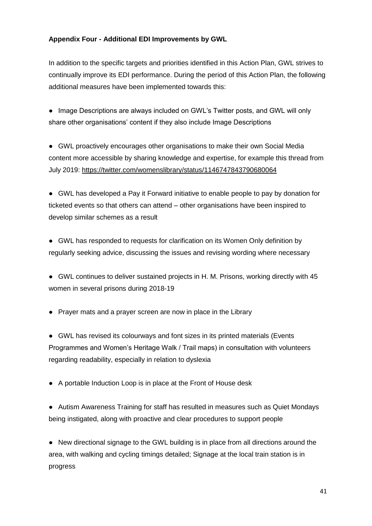#### **Appendix Four - Additional EDI Improvements by GWL**

In addition to the specific targets and priorities identified in this Action Plan, GWL strives to continually improve its EDI performance. During the period of this Action Plan, the following additional measures have been implemented towards this:

● Image Descriptions are always included on GWL's Twitter posts, and GWL will only share other organisations' content if they also include Image Descriptions

● GWL proactively encourages other organisations to make their own Social Media content more accessible by sharing knowledge and expertise, for example this thread from July 2019:<https://twitter.com/womenslibrary/status/1146747843790680064>

● GWL has developed a Pay it Forward initiative to enable people to pay by donation for ticketed events so that others can attend – other organisations have been inspired to develop similar schemes as a result

● GWL has responded to requests for clarification on its Women Only definition by regularly seeking advice, discussing the issues and revising wording where necessary

● GWL continues to deliver sustained projects in H. M. Prisons, working directly with 45 women in several prisons during 2018-19

● Prayer mats and a prayer screen are now in place in the Library

● GWL has revised its colourways and font sizes in its printed materials (Events Programmes and Women's Heritage Walk / Trail maps) in consultation with volunteers regarding readability, especially in relation to dyslexia

● A portable Induction Loop is in place at the Front of House desk

● Autism Awareness Training for staff has resulted in measures such as Quiet Mondays being instigated, along with proactive and clear procedures to support people

● New directional signage to the GWL building is in place from all directions around the area, with walking and cycling timings detailed; Signage at the local train station is in progress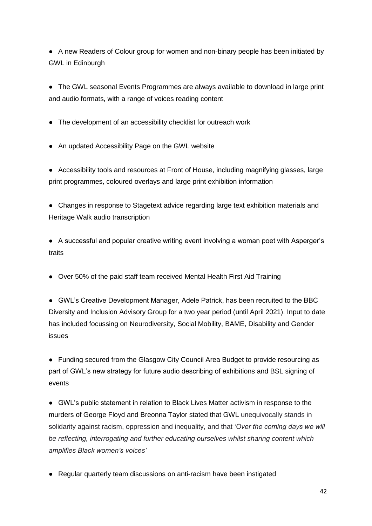● A new Readers of Colour group for women and non-binary people has been initiated by GWL in Edinburgh

● The GWL seasonal Events Programmes are always available to download in large print and audio formats, with a range of voices reading content

- The development of an accessibility checklist for outreach work
- An updated Accessibility Page on the GWL website

● Accessibility tools and resources at Front of House, including magnifying glasses, large print programmes, coloured overlays and large print exhibition information

● Changes in response to Stagetext advice regarding large text exhibition materials and Heritage Walk audio transcription

● A successful and popular creative writing event involving a woman poet with Asperger's traits

• Over 50% of the paid staff team received Mental Health First Aid Training

● GWL's Creative Development Manager, Adele Patrick, has been recruited to the BBC Diversity and Inclusion Advisory Group for a two year period (until April 2021). Input to date has included focussing on Neurodiversity, Social Mobility, BAME, Disability and Gender issues

● Funding secured from the Glasgow City Council Area Budget to provide resourcing as part of GWL's new strategy for future audio describing of exhibitions and BSL signing of events

● GWL's public statement in relation to Black Lives Matter activism in response to the murders of George Floyd and Breonna Taylor stated that GWL unequivocally stands in solidarity against racism, oppression and inequality, and that *'Over the coming days we will be reflecting, interrogating and further educating ourselves whilst sharing content which amplifies Black women's voices'*

● Regular quarterly team discussions on anti-racism have been instigated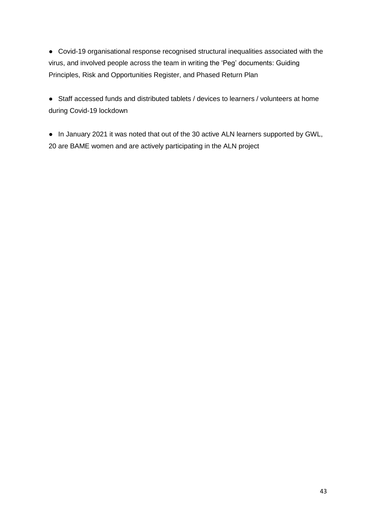● Covid-19 organisational response recognised structural inequalities associated with the virus, and involved people across the team in writing the 'Peg' documents: Guiding Principles, Risk and Opportunities Register, and Phased Return Plan

● Staff accessed funds and distributed tablets / devices to learners / volunteers at home during Covid-19 lockdown

● In January 2021 it was noted that out of the 30 active ALN learners supported by GWL, 20 are BAME women and are actively participating in the ALN project